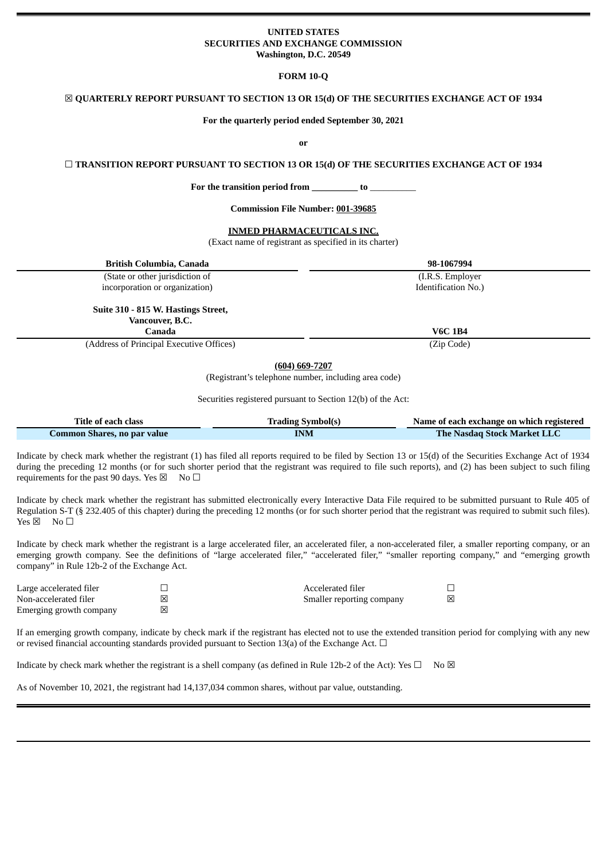## **UNITED STATES SECURITIES AND EXCHANGE COMMISSION Washington, D.C. 20549**

## **FORM 10-Q**

# ☒ **QUARTERLY REPORT PURSUANT TO SECTION 13 OR 15(d) OF THE SECURITIES EXCHANGE ACT OF 1934**

#### **For the quarterly period ended September 30, 2021**

**or**

☐ **TRANSITION REPORT PURSUANT TO SECTION 13 OR 15(d) OF THE SECURITIES EXCHANGE ACT OF 1934**

**For the transition period from \_\_\_\_\_\_\_\_\_\_ to** \_\_\_\_\_\_\_\_\_\_

**Commission File Number: 001-39685**

#### **INMED PHARMACEUTICALS INC.**

(Exact name of registrant as specified in its charter)

| <b>British Columbia, Canada</b>                        | 98-1067994                                           |
|--------------------------------------------------------|------------------------------------------------------|
| (State or other jurisdiction of                        | (I.R.S. Employer                                     |
| incorporation or organization)                         | Identification No.)                                  |
| Suite 310 - 815 W. Hastings Street,<br>Vancouver, B.C. |                                                      |
| Canada                                                 | <b>V6C 1B4</b>                                       |
| (Address of Principal Executive Offices)               | (Zip Code)                                           |
|                                                        | $(604) 669 - 7207$                                   |
|                                                        | (Registrant's telephone number, including area code) |

Securities registered pursuant to Section 12(b) of the Act:

| Title of each class                | <b>Trading Symbol(s)</b> | Name of each exchange on which registered |
|------------------------------------|--------------------------|-------------------------------------------|
| <b>Common Shares, no par value</b> | <b>INM</b>               | The Nasdag Stock Market LLC               |

Indicate by check mark whether the registrant (1) has filed all reports required to be filed by Section 13 or 15(d) of the Securities Exchange Act of 1934 during the preceding 12 months (or for such shorter period that the registrant was required to file such reports), and (2) has been subject to such filing requirements for the past 90 days. Yes  $\boxtimes$  No  $\Box$ 

Indicate by check mark whether the registrant has submitted electronically every Interactive Data File required to be submitted pursuant to Rule 405 of Regulation S-T (§ 232.405 of this chapter) during the preceding 12 months (or for such shorter period that the registrant was required to submit such files). Yes ⊠ No □

Indicate by check mark whether the registrant is a large accelerated filer, an accelerated filer, a non-accelerated filer, a smaller reporting company, or an emerging growth company. See the definitions of "large accelerated filer," "accelerated filer," "smaller reporting company," and "emerging growth company" in Rule 12b-2 of the Exchange Act.

| Large accelerated filer |   | Accelerated filer         |  |
|-------------------------|---|---------------------------|--|
| Non-accelerated filer   | 冈 | Smaller reporting company |  |
| Emerging growth company |   |                           |  |

If an emerging growth company, indicate by check mark if the registrant has elected not to use the extended transition period for complying with any new or revised financial accounting standards provided pursuant to Section 13(a) of the Exchange Act.  $\Box$ 

Indicate by check mark whether the registrant is a shell company (as defined in Rule 12b-2 of the Act): Yes  $\Box$  No  $\boxtimes$ 

As of November 10, 2021, the registrant had 14,137,034 common shares, without par value, outstanding.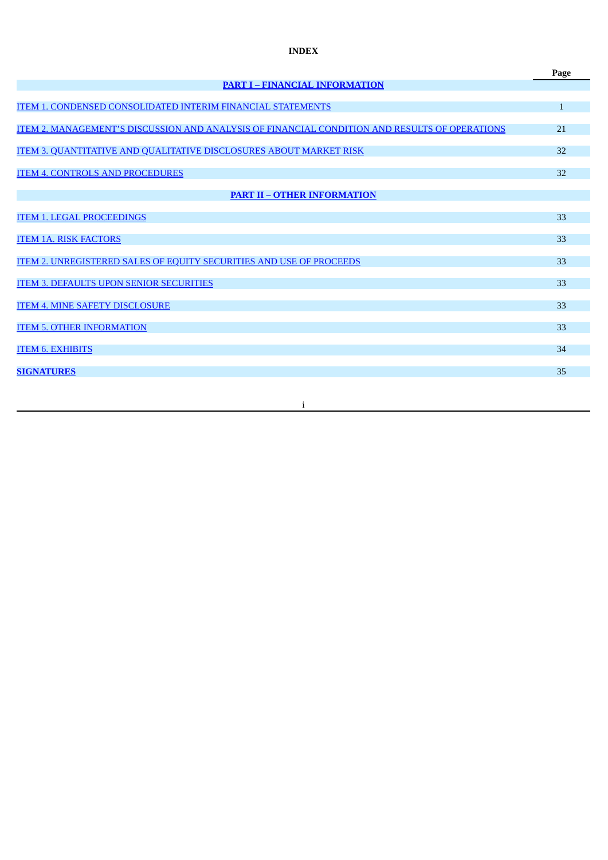# **INDEX**

|                                                                                               | Page         |
|-----------------------------------------------------------------------------------------------|--------------|
| <b>PART I - FINANCIAL INFORMATION</b>                                                         |              |
|                                                                                               |              |
| <b>ITEM 1. CONDENSED CONSOLIDATED INTERIM FINANCIAL STATEMENTS</b>                            | $\mathbf{1}$ |
|                                                                                               |              |
| ITEM 2. MANAGEMENT'S DISCUSSION AND ANALYSIS OF FINANCIAL CONDITION AND RESULTS OF OPERATIONS | 21           |
|                                                                                               |              |
| <u>ITEM 3. QUANTITATIVE AND QUALITATIVE DISCLOSURES ABOUT MARKET RISK</u>                     | 32           |
|                                                                                               | 32           |
| <b>ITEM 4. CONTROLS AND PROCEDURES</b>                                                        |              |
| <b>PART II - OTHER INFORMATION</b>                                                            |              |
|                                                                                               |              |
| <b>ITEM 1. LEGAL PROCEEDINGS</b>                                                              | 33           |
|                                                                                               |              |
| <b>ITEM 1A. RISK FACTORS</b>                                                                  | 33           |
|                                                                                               |              |
| <b>ITEM 2. UNREGISTERED SALES OF EQUITY SECURITIES AND USE OF PROCEEDS</b>                    | 33           |
|                                                                                               |              |
| <b>ITEM 3. DEFAULTS UPON SENIOR SECURITIES</b>                                                | 33           |
|                                                                                               |              |
| <b>ITEM 4. MINE SAFETY DISCLOSURE</b>                                                         | 33           |
| <b>ITEM 5. OTHER INFORMATION</b>                                                              | 33           |
|                                                                                               |              |
| <b>ITEM 6. EXHIBITS</b>                                                                       | 34           |
|                                                                                               |              |
| <b>SIGNATURES</b>                                                                             | 35           |
|                                                                                               |              |

# i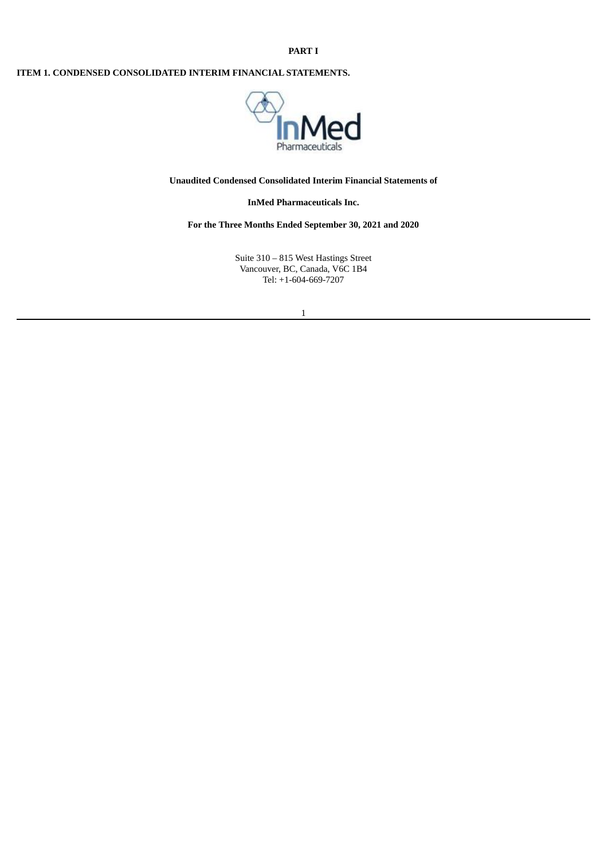**PART I**

# <span id="page-2-1"></span><span id="page-2-0"></span>**ITEM 1. CONDENSED CONSOLIDATED INTERIM FINANCIAL STATEMENTS.**



## **Unaudited Condensed Consolidated Interim Financial Statements of**

**InMed Pharmaceuticals Inc.**

**For the Three Months Ended September 30, 2021 and 2020**

Suite 310 – 815 West Hastings Street Vancouver, BC, Canada, V6C 1B4 Tel: +1-604-669-7207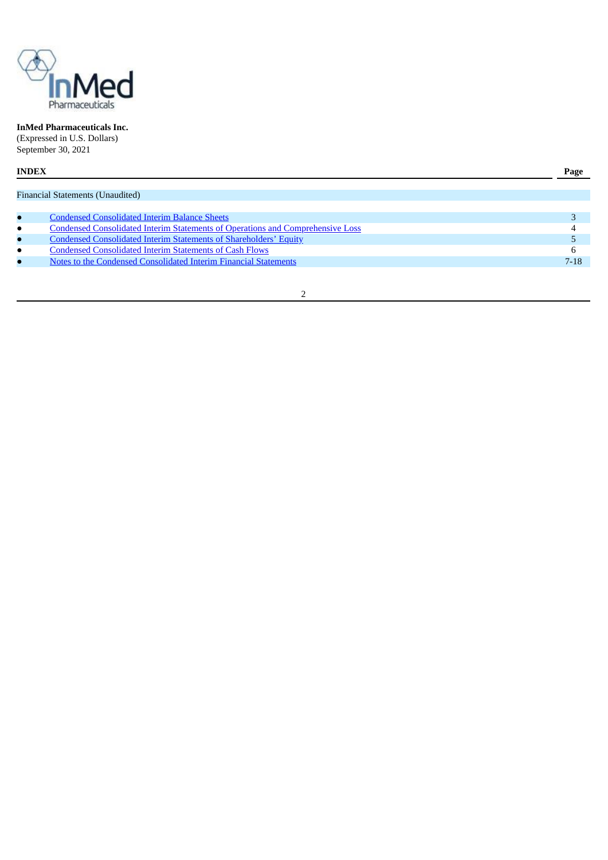

(Expressed in U.S. Dollars) September 30, 2021

## **INDEX Page**

|           | Financial Statements (Unaudited)                                                      |      |
|-----------|---------------------------------------------------------------------------------------|------|
|           |                                                                                       |      |
| $\bullet$ | <b>Condensed Consolidated Interim Balance Sheets</b>                                  |      |
| $\bullet$ | <b>Condensed Consolidated Interim Statements of Operations and Comprehensive Loss</b> |      |
| $\bullet$ | <b>Condensed Consolidated Interim Statements of Shareholders' Equity</b>              |      |
| $\bullet$ | <b>Condensed Consolidated Interim Statements of Cash Flows</b>                        |      |
| $\bullet$ | Notes to the Condensed Consolidated Interim Financial Statements                      | 7-18 |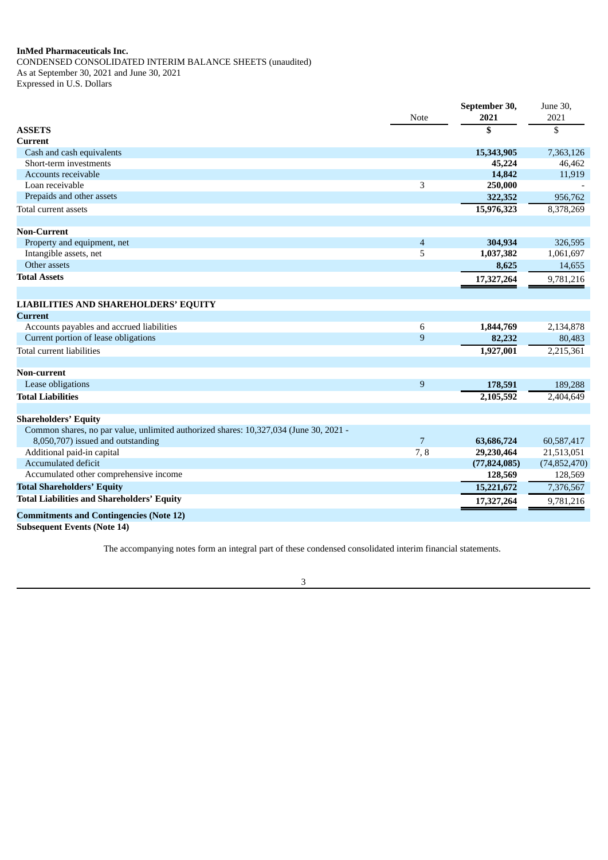<span id="page-4-0"></span>CONDENSED CONSOLIDATED INTERIM BALANCE SHEETS (unaudited) As at September 30, 2021 and June 30, 2021

Expressed in U.S. Dollars

|                                                                                       |                | September 30,  | June 30,       |
|---------------------------------------------------------------------------------------|----------------|----------------|----------------|
|                                                                                       | <b>Note</b>    | 2021           | 2021           |
| <b>ASSETS</b><br>Current                                                              |                | \$             | \$             |
| Cash and cash equivalents                                                             |                | 15,343,905     | 7,363,126      |
| Short-term investments                                                                |                | 45,224         | 46,462         |
| Accounts receivable                                                                   |                | 14,842         | 11,919         |
| Loan receivable                                                                       | 3              | 250,000        |                |
| Prepaids and other assets                                                             |                | 322,352        | 956,762        |
| Total current assets                                                                  |                | 15,976,323     | 8,378,269      |
| <b>Non-Current</b>                                                                    |                |                |                |
| Property and equipment, net                                                           | $\overline{4}$ | 304,934        | 326,595        |
| Intangible assets, net                                                                | 5              | 1,037,382      | 1,061,697      |
| Other assets                                                                          |                | 8,625          | 14,655         |
| <b>Total Assets</b>                                                                   |                | 17,327,264     | 9,781,216      |
|                                                                                       |                |                |                |
| <b>LIABILITIES AND SHAREHOLDERS' EQUITY</b>                                           |                |                |                |
| <b>Current</b>                                                                        |                |                |                |
| Accounts payables and accrued liabilities                                             | 6              | 1,844,769      | 2,134,878      |
| Current portion of lease obligations                                                  | 9              | 82,232         | 80,483         |
| Total current liabilities                                                             |                | 1,927,001      | 2,215,361      |
| <b>Non-current</b>                                                                    |                |                |                |
| Lease obligations                                                                     | 9              | 178,591        | 189,288        |
| <b>Total Liabilities</b>                                                              |                | 2,105,592      | 2,404,649      |
|                                                                                       |                |                |                |
| <b>Shareholders' Equity</b>                                                           |                |                |                |
| Common shares, no par value, unlimited authorized shares: 10,327,034 (June 30, 2021 - |                |                |                |
| 8,050,707) issued and outstanding                                                     | 7              | 63,686,724     | 60,587,417     |
| Additional paid-in capital                                                            | 7,8            | 29,230,464     | 21,513,051     |
| Accumulated deficit                                                                   |                | (77, 824, 085) | (74, 852, 470) |
| Accumulated other comprehensive income                                                |                | 128,569        | 128,569        |
| <b>Total Shareholders' Equity</b>                                                     |                | 15,221,672     | 7,376,567      |
| <b>Total Liabilities and Shareholders' Equity</b>                                     |                | 17,327,264     | 9,781,216      |
| <b>Commitments and Contingencies (Note 12)</b><br><b>Subsequent Events (Note 14)</b>  |                |                |                |

The accompanying notes form an integral part of these condensed consolidated interim financial statements.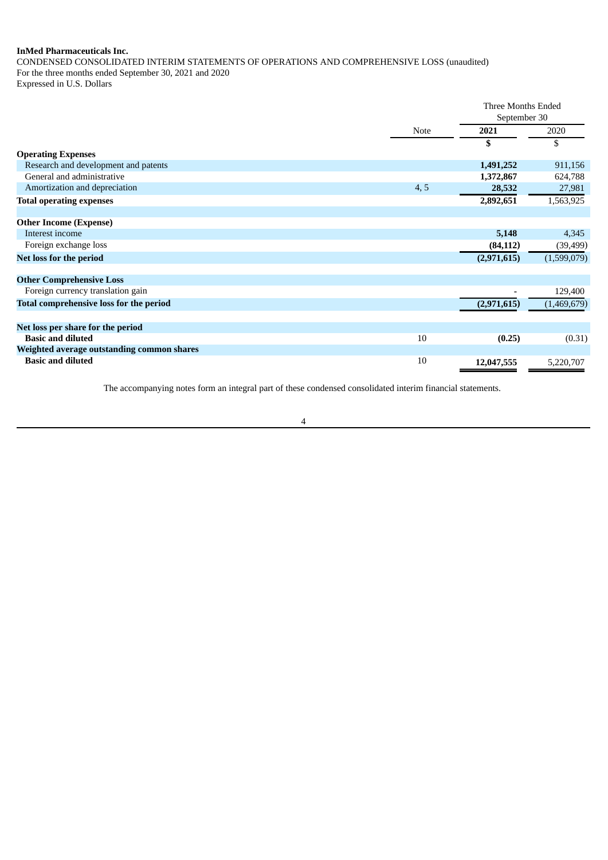<span id="page-5-0"></span>CONDENSED CONSOLIDATED INTERIM STATEMENTS OF OPERATIONS AND COMPREHENSIVE LOSS (unaudited) For the three months ended September 30, 2021 and 2020 Expressed in U.S. Dollars

|                                            |      | <b>Three Months Ended</b> |             |
|--------------------------------------------|------|---------------------------|-------------|
|                                            |      | September 30              |             |
|                                            | Note | 2021                      | 2020        |
|                                            |      | \$                        | \$          |
| <b>Operating Expenses</b>                  |      |                           |             |
| Research and development and patents       |      | 1,491,252                 | 911,156     |
| General and administrative                 |      | 1,372,867                 | 624,788     |
| Amortization and depreciation              | 4, 5 | 28,532                    | 27,981      |
| <b>Total operating expenses</b>            |      | 2,892,651                 | 1,563,925   |
| <b>Other Income (Expense)</b>              |      |                           |             |
| Interest income                            |      | 5,148                     | 4,345       |
| Foreign exchange loss                      |      | (84, 112)                 | (39, 499)   |
| Net loss for the period                    |      | (2,971,615)               | (1,599,079) |
| <b>Other Comprehensive Loss</b>            |      |                           |             |
| Foreign currency translation gain          |      |                           | 129,400     |
| Total comprehensive loss for the period    |      | (2,971,615)               | (1,469,679) |
|                                            |      |                           |             |
| Net loss per share for the period          |      |                           |             |
| <b>Basic and diluted</b>                   | 10   | (0.25)                    | (0.31)      |
| Weighted average outstanding common shares |      |                           |             |
| <b>Basic and diluted</b>                   | 10   | 12,047,555                | 5,220,707   |

The accompanying notes form an integral part of these condensed consolidated interim financial statements.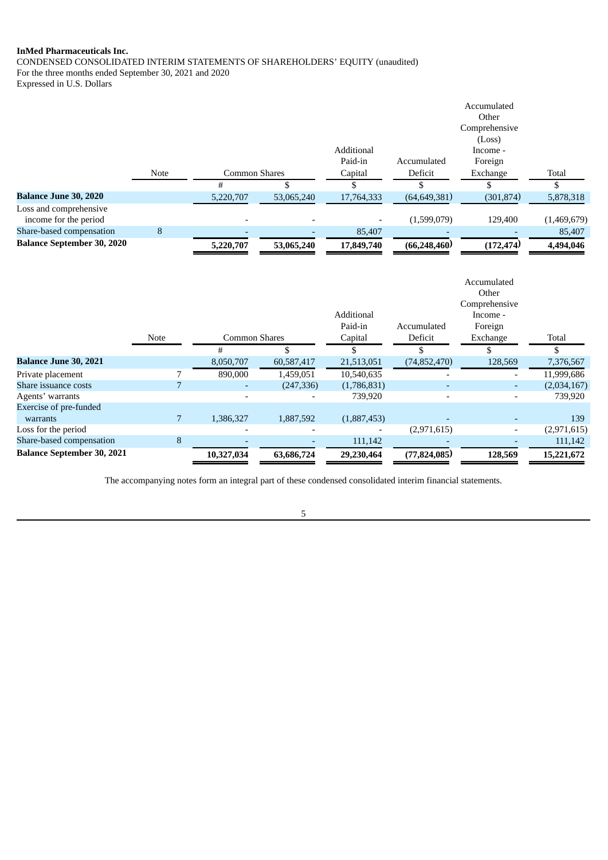<span id="page-6-0"></span>CONDENSED CONSOLIDATED INTERIM STATEMENTS OF SHAREHOLDERS' EQUITY (unaudited) For the three months ended September 30, 2021 and 2020

Expressed in U.S. Dollars

|                                   |             |               |            |            |                | Accumulated   |             |
|-----------------------------------|-------------|---------------|------------|------------|----------------|---------------|-------------|
|                                   |             |               |            |            |                | Other         |             |
|                                   |             |               |            |            |                | Comprehensive |             |
|                                   |             |               |            |            |                | (Loss)        |             |
|                                   |             |               |            | Additional |                | Income -      |             |
|                                   |             |               |            | Paid-in    | Accumulated    | Foreign       |             |
|                                   | <b>Note</b> | Common Shares |            | Capital    | Deficit        | Exchange      | Total       |
|                                   |             | #             |            |            |                |               |             |
| <b>Balance June 30, 2020</b>      |             | 5,220,707     | 53,065,240 | 17,764,333 | (64, 649, 381) | (301, 874)    | 5,878,318   |
| Loss and comprehensive            |             |               |            |            |                |               |             |
| income for the period             |             |               |            |            | (1,599,079)    | 129,400       | (1,469,679) |
| Share-based compensation          | 8           |               |            | 85,407     |                |               | 85,407      |
| <b>Balance September 30, 2020</b> |             | 5,220,707     | 53,065,240 | 17,849,740 | (66, 248, 460) | (172, 474)    | 4,494,046   |

|                                   |             |                      |            | Additional<br>Paid-in | Accumulated              | Accumulated<br>Other<br>Comprehensive<br>Income -<br>Foreign |             |
|-----------------------------------|-------------|----------------------|------------|-----------------------|--------------------------|--------------------------------------------------------------|-------------|
|                                   | <b>Note</b> | <b>Common Shares</b> |            | Capital               | Deficit                  | Exchange                                                     | Total       |
|                                   |             | #                    |            | S                     |                          |                                                              |             |
| <b>Balance June 30, 2021</b>      |             | 8,050,707            | 60,587,417 | 21,513,051            | (74, 852, 470)           | 128,569                                                      | 7,376,567   |
| Private placement                 |             | 890,000              | 1,459,051  | 10,540,635            |                          |                                                              | 11,999,686  |
| Share issuance costs              |             |                      | (247, 336) | (1,786,831)           |                          |                                                              | (2,034,167) |
| Agents' warrants                  |             |                      |            | 739,920               | $\overline{\phantom{a}}$ |                                                              | 739,920     |
| Exercise of pre-funded            |             |                      |            |                       |                          |                                                              |             |
| warrants                          |             | 1,386,327            | 1,887,592  | (1,887,453)           |                          |                                                              | 139         |
| Loss for the period               |             |                      |            |                       | (2,971,615)              | -                                                            | (2,971,615) |
| Share-based compensation          | 8           |                      |            | 111,142               |                          |                                                              | 111,142     |
| <b>Balance September 30, 2021</b> |             | 10,327,034           | 63,686,724 | 29,230,464            | (77, 824, 085)           | 128,569                                                      | 15,221,672  |

The accompanying notes form an integral part of these condensed consolidated interim financial statements.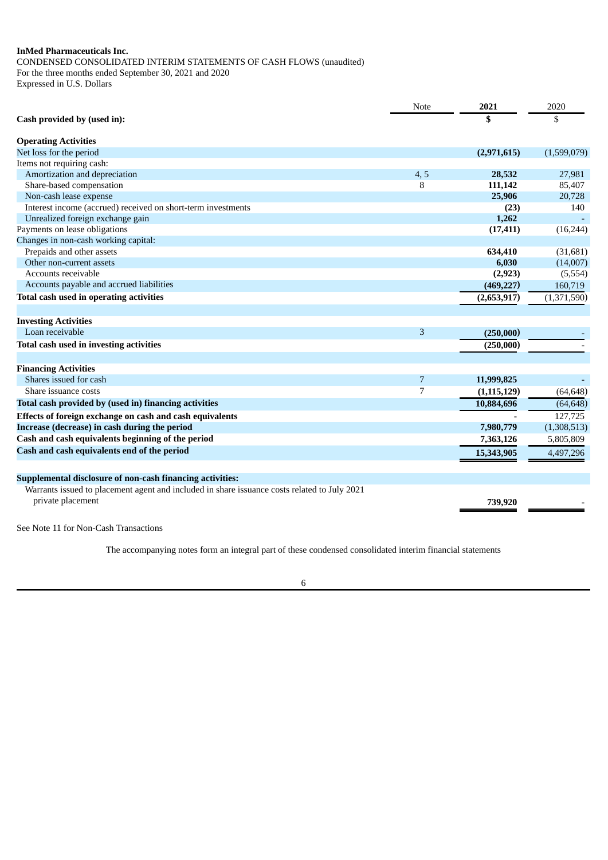<span id="page-7-0"></span>CONDENSED CONSOLIDATED INTERIM STATEMENTS OF CASH FLOWS (unaudited) For the three months ended September 30, 2021 and 2020 Expressed in U.S. Dollars

|                                                                                              | <b>Note</b> | 2021          | 2020        |
|----------------------------------------------------------------------------------------------|-------------|---------------|-------------|
| Cash provided by (used in):                                                                  |             | \$            | \$          |
| <b>Operating Activities</b>                                                                  |             |               |             |
| Net loss for the period                                                                      |             | (2,971,615)   | (1,599,079) |
| Items not requiring cash:                                                                    |             |               |             |
| Amortization and depreciation                                                                | 4, 5        | 28,532        | 27,981      |
| Share-based compensation                                                                     | 8           | 111,142       | 85,407      |
| Non-cash lease expense                                                                       |             | 25,906        | 20,728      |
| Interest income (accrued) received on short-term investments                                 |             | (23)          | 140         |
| Unrealized foreign exchange gain                                                             |             | 1,262         |             |
| Payments on lease obligations                                                                |             | (17, 411)     | (16, 244)   |
| Changes in non-cash working capital:                                                         |             |               |             |
| Prepaids and other assets                                                                    |             | 634,410       | (31,681)    |
| Other non-current assets                                                                     |             | 6,030         | (14,007)    |
| Accounts receivable                                                                          |             | (2, 923)      | (5, 554)    |
| Accounts payable and accrued liabilities                                                     |             | (469, 227)    | 160,719     |
| <b>Total cash used in operating activities</b>                                               |             | (2,653,917)   | (1,371,590) |
| <b>Investing Activities</b>                                                                  |             |               |             |
| Loan receivable                                                                              | 3           | (250,000)     |             |
| Total cash used in investing activities                                                      |             | (250,000)     |             |
|                                                                                              |             |               |             |
| <b>Financing Activities</b>                                                                  |             |               |             |
| Shares issued for cash                                                                       | 7           | 11,999,825    |             |
| Share issuance costs                                                                         | 7           | (1, 115, 129) | (64, 648)   |
| Total cash provided by (used in) financing activities                                        |             | 10,884,696    | (64, 648)   |
| Effects of foreign exchange on cash and cash equivalents                                     |             |               | 127,725     |
| Increase (decrease) in cash during the period                                                |             | 7,980,779     | (1,308,513) |
| Cash and cash equivalents beginning of the period                                            |             | 7,363,126     | 5,805,809   |
| Cash and cash equivalents end of the period                                                  |             | 15,343,905    | 4,497,296   |
| Supplemental disclosure of non-cash financing activities:                                    |             |               |             |
| Warrants issued to placement agent and included in share issuance costs related to July 2021 |             |               |             |
| private placement                                                                            |             | 739,920       |             |

See Note 11 for Non-Cash Transactions

The accompanying notes form an integral part of these condensed consolidated interim financial statements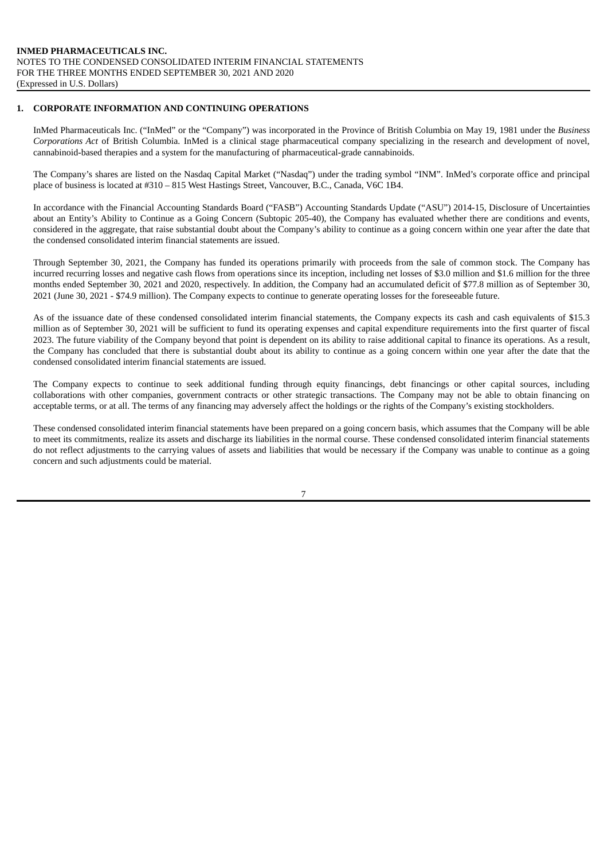# <span id="page-8-0"></span>**1. CORPORATE INFORMATION AND CONTINUING OPERATIONS**

InMed Pharmaceuticals Inc. ("InMed" or the "Company") was incorporated in the Province of British Columbia on May 19, 1981 under the *Business Corporations Act* of British Columbia. InMed is a clinical stage pharmaceutical company specializing in the research and development of novel, cannabinoid-based therapies and a system for the manufacturing of pharmaceutical-grade cannabinoids.

The Company's shares are listed on the Nasdaq Capital Market ("Nasdaq") under the trading symbol "INM". InMed's corporate office and principal place of business is located at #310 – 815 West Hastings Street, Vancouver, B.C., Canada, V6C 1B4.

In accordance with the Financial Accounting Standards Board ("FASB") Accounting Standards Update ("ASU") 2014-15, Disclosure of Uncertainties about an Entity's Ability to Continue as a Going Concern (Subtopic 205-40), the Company has evaluated whether there are conditions and events, considered in the aggregate, that raise substantial doubt about the Company's ability to continue as a going concern within one year after the date that the condensed consolidated interim financial statements are issued.

Through September 30, 2021, the Company has funded its operations primarily with proceeds from the sale of common stock. The Company has incurred recurring losses and negative cash flows from operations since its inception, including net losses of \$3.0 million and \$1.6 million for the three months ended September 30, 2021 and 2020, respectively. In addition, the Company had an accumulated deficit of \$77.8 million as of September 30, 2021 (June 30, 2021 - \$74.9 million). The Company expects to continue to generate operating losses for the foreseeable future.

As of the issuance date of these condensed consolidated interim financial statements, the Company expects its cash and cash equivalents of \$15.3 million as of September 30, 2021 will be sufficient to fund its operating expenses and capital expenditure requirements into the first quarter of fiscal 2023. The future viability of the Company beyond that point is dependent on its ability to raise additional capital to finance its operations. As a result, the Company has concluded that there is substantial doubt about its ability to continue as a going concern within one year after the date that the condensed consolidated interim financial statements are issued.

The Company expects to continue to seek additional funding through equity financings, debt financings or other capital sources, including collaborations with other companies, government contracts or other strategic transactions. The Company may not be able to obtain financing on acceptable terms, or at all. The terms of any financing may adversely affect the holdings or the rights of the Company's existing stockholders.

These condensed consolidated interim financial statements have been prepared on a going concern basis, which assumes that the Company will be able to meet its commitments, realize its assets and discharge its liabilities in the normal course. These condensed consolidated interim financial statements do not reflect adjustments to the carrying values of assets and liabilities that would be necessary if the Company was unable to continue as a going concern and such adjustments could be material.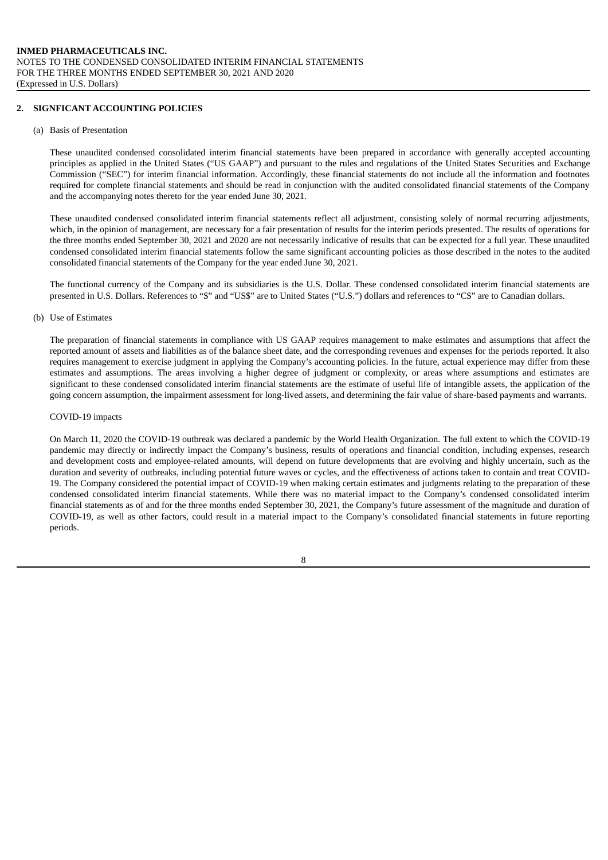## **2. SIGNFICANT ACCOUNTING POLICIES**

#### (a) Basis of Presentation

These unaudited condensed consolidated interim financial statements have been prepared in accordance with generally accepted accounting principles as applied in the United States ("US GAAP") and pursuant to the rules and regulations of the United States Securities and Exchange Commission ("SEC") for interim financial information. Accordingly, these financial statements do not include all the information and footnotes required for complete financial statements and should be read in conjunction with the audited consolidated financial statements of the Company and the accompanying notes thereto for the year ended June 30, 2021.

These unaudited condensed consolidated interim financial statements reflect all adjustment, consisting solely of normal recurring adjustments, which, in the opinion of management, are necessary for a fair presentation of results for the interim periods presented. The results of operations for the three months ended September 30, 2021 and 2020 are not necessarily indicative of results that can be expected for a full year. These unaudited condensed consolidated interim financial statements follow the same significant accounting policies as those described in the notes to the audited consolidated financial statements of the Company for the year ended June 30, 2021.

The functional currency of the Company and its subsidiaries is the U.S. Dollar. These condensed consolidated interim financial statements are presented in U.S. Dollars. References to "\$" and "US\$" are to United States ("U.S.") dollars and references to "C\$" are to Canadian dollars.

#### (b) Use of Estimates

The preparation of financial statements in compliance with US GAAP requires management to make estimates and assumptions that affect the reported amount of assets and liabilities as of the balance sheet date, and the corresponding revenues and expenses for the periods reported. It also requires management to exercise judgment in applying the Company's accounting policies. In the future, actual experience may differ from these estimates and assumptions. The areas involving a higher degree of judgment or complexity, or areas where assumptions and estimates are significant to these condensed consolidated interim financial statements are the estimate of useful life of intangible assets, the application of the going concern assumption, the impairment assessment for long-lived assets, and determining the fair value of share-based payments and warrants.

#### COVID-19 impacts

On March 11, 2020 the COVID-19 outbreak was declared a pandemic by the World Health Organization. The full extent to which the COVID-19 pandemic may directly or indirectly impact the Company's business, results of operations and financial condition, including expenses, research and development costs and employee-related amounts, will depend on future developments that are evolving and highly uncertain, such as the duration and severity of outbreaks, including potential future waves or cycles, and the effectiveness of actions taken to contain and treat COVID-19. The Company considered the potential impact of COVID-19 when making certain estimates and judgments relating to the preparation of these condensed consolidated interim financial statements. While there was no material impact to the Company's condensed consolidated interim financial statements as of and for the three months ended September 30, 2021, the Company's future assessment of the magnitude and duration of COVID-19, as well as other factors, could result in a material impact to the Company's consolidated financial statements in future reporting periods.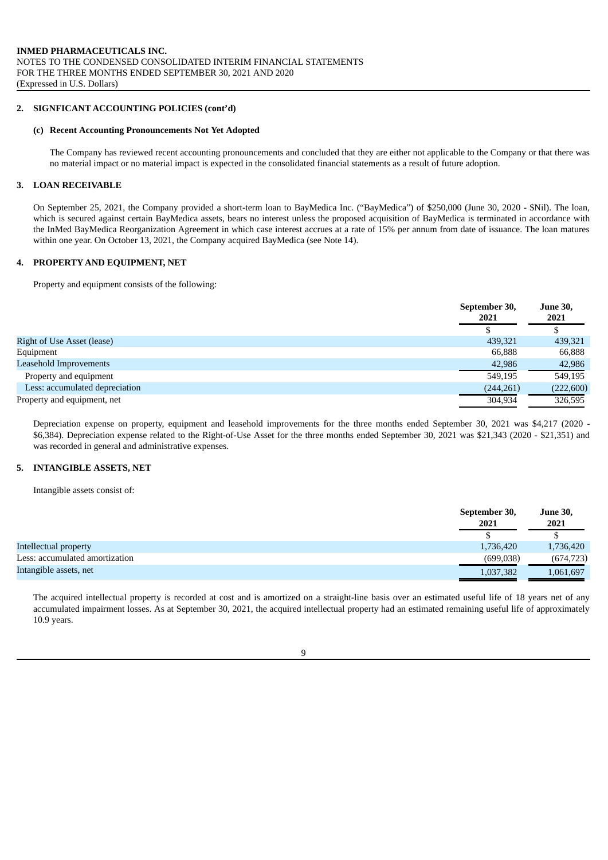## **2. SIGNFICANT ACCOUNTING POLICIES (cont'd)**

#### **(c) Recent Accounting Pronouncements Not Yet Adopted**

The Company has reviewed recent accounting pronouncements and concluded that they are either not applicable to the Company or that there was no material impact or no material impact is expected in the consolidated financial statements as a result of future adoption.

#### **3. LOAN RECEIVABLE**

On September 25, 2021, the Company provided a short-term loan to BayMedica Inc. ("BayMedica") of \$250,000 (June 30, 2020 - \$Nil). The loan, which is secured against certain BayMedica assets, bears no interest unless the proposed acquisition of BayMedica is terminated in accordance with the InMed BayMedica Reorganization Agreement in which case interest accrues at a rate of 15% per annum from date of issuance. The loan matures within one year. On October 13, 2021, the Company acquired BayMedica (see Note 14).

#### **4. PROPERTY AND EQUIPMENT, NET**

Property and equipment consists of the following:

|                                | September 30,<br>2021 | <b>June 30,</b><br>2021 |
|--------------------------------|-----------------------|-------------------------|
|                                |                       |                         |
| Right of Use Asset (lease)     | 439,321               | 439,321                 |
| Equipment                      | 66.888                | 66,888                  |
| Leasehold Improvements         | 42,986                | 42,986                  |
| Property and equipment         | 549,195               | 549,195                 |
| Less: accumulated depreciation | (244, 261)            | (222,600)               |
| Property and equipment, net    | 304,934               | 326.595                 |

Depreciation expense on property, equipment and leasehold improvements for the three months ended September 30, 2021 was \$4,217 (2020 - \$6,384). Depreciation expense related to the Right-of-Use Asset for the three months ended September 30, 2021 was \$21,343 (2020 - \$21,351) and was recorded in general and administrative expenses.

# **5. INTANGIBLE ASSETS, NET**

Intangible assets consist of:

|                                | September 30,<br>2021 | <b>June 30,</b><br>2021 |
|--------------------------------|-----------------------|-------------------------|
|                                |                       |                         |
| Intellectual property          | 1,736,420             | 1,736,420               |
| Less: accumulated amortization | (699,038)             | (674, 723)              |
| Intangible assets, net         | 1,037,382             | 1,061,697               |
|                                |                       |                         |

The acquired intellectual property is recorded at cost and is amortized on a straight-line basis over an estimated useful life of 18 years net of any accumulated impairment losses. As at September 30, 2021, the acquired intellectual property had an estimated remaining useful life of approximately 10.9 years.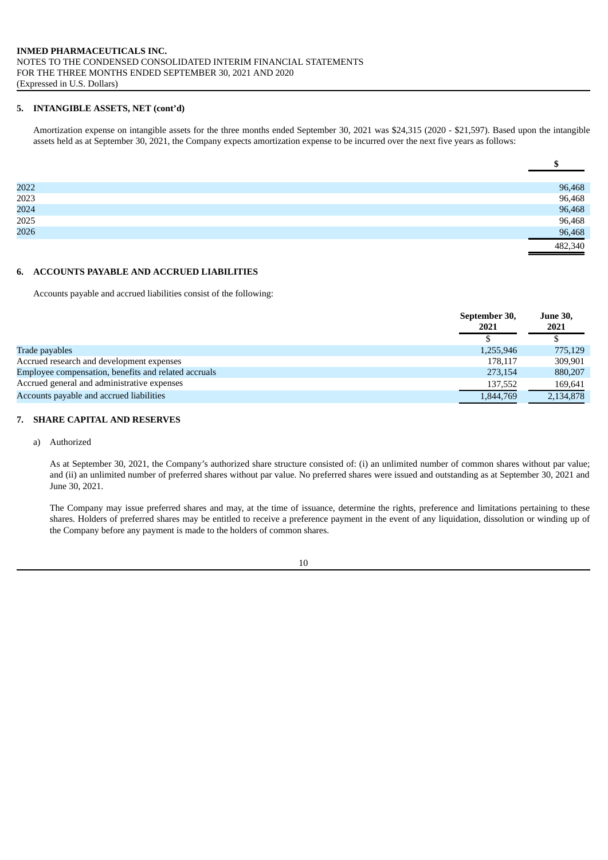#### **5. INTANGIBLE ASSETS, NET (cont'd)**

Amortization expense on intangible assets for the three months ended September 30, 2021 was \$24,315 (2020 - \$21,597). Based upon the intangible assets held as at September 30, 2021, the Company expects amortization expense to be incurred over the next five years as follows:

| 2022 | 96,468  |
|------|---------|
| 2023 | 96,468  |
| 2024 | 96,468  |
| 2025 | 96,468  |
| 2026 | 96,468  |
|      | 482,340 |

# **6. ACCOUNTS PAYABLE AND ACCRUED LIABILITIES**

Accounts payable and accrued liabilities consist of the following:

|                                                      | September 30,<br>2021 | <b>June 30,</b><br>2021 |
|------------------------------------------------------|-----------------------|-------------------------|
|                                                      |                       |                         |
| Trade payables                                       | 1,255,946             | 775.129                 |
| Accrued research and development expenses            | 178.117               | 309,901                 |
| Employee compensation, benefits and related accruals | 273,154               | 880,207                 |
| Accrued general and administrative expenses          | 137.552               | 169,641                 |
| Accounts payable and accrued liabilities             | 1,844,769             | 2,134,878               |

# **7. SHARE CAPITAL AND RESERVES**

#### a) Authorized

As at September 30, 2021, the Company's authorized share structure consisted of: (i) an unlimited number of common shares without par value; and (ii) an unlimited number of preferred shares without par value. No preferred shares were issued and outstanding as at September 30, 2021 and June 30, 2021.

The Company may issue preferred shares and may, at the time of issuance, determine the rights, preference and limitations pertaining to these shares. Holders of preferred shares may be entitled to receive a preference payment in the event of any liquidation, dissolution or winding up of the Company before any payment is made to the holders of common shares.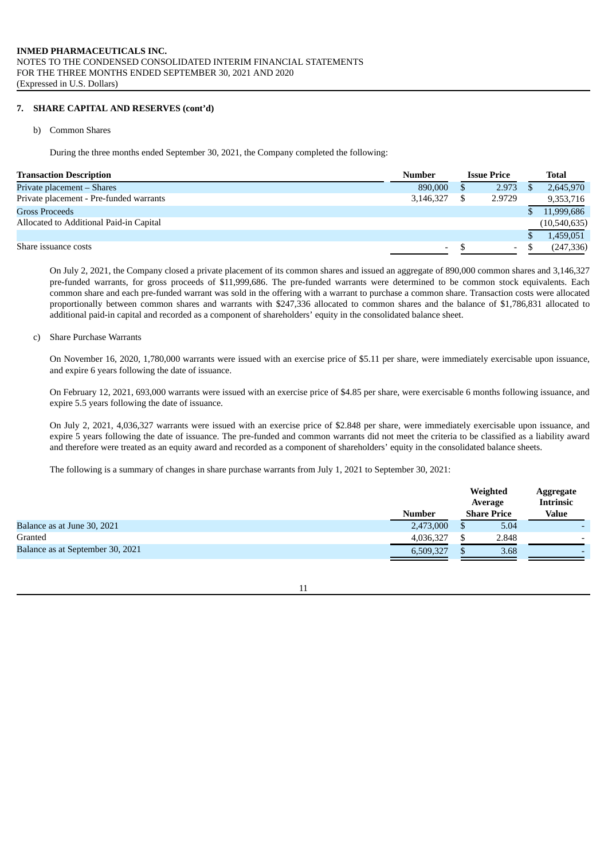## **7. SHARE CAPITAL AND RESERVES (cont'd)**

#### b) Common Shares

During the three months ended September 30, 2021, the Company completed the following:

| <b>Transaction Description</b>          | <b>Number</b> | <b>Issue Price</b>       | Total        |
|-----------------------------------------|---------------|--------------------------|--------------|
| Private placement – Shares              | 890,000       | 2.973                    | 2,645,970    |
| Private placement - Pre-funded warrants | 3,146,327     | 2.9729                   | 9,353,716    |
| Gross Proceeds                          |               |                          | 11,999,686   |
| Allocated to Additional Paid-in Capital |               |                          | (10,540,635) |
|                                         |               |                          | 1,459,051    |
| Share issuance costs                    | $\sim$        | $\overline{\phantom{a}}$ | (247, 336)   |

On July 2, 2021, the Company closed a private placement of its common shares and issued an aggregate of 890,000 common shares and 3,146,327 pre-funded warrants, for gross proceeds of \$11,999,686. The pre-funded warrants were determined to be common stock equivalents. Each common share and each pre-funded warrant was sold in the offering with a warrant to purchase a common share. Transaction costs were allocated proportionally between common shares and warrants with \$247,336 allocated to common shares and the balance of \$1,786,831 allocated to additional paid-in capital and recorded as a component of shareholders' equity in the consolidated balance sheet.

c) Share Purchase Warrants

On November 16, 2020, 1,780,000 warrants were issued with an exercise price of \$5.11 per share, were immediately exercisable upon issuance, and expire 6 years following the date of issuance.

On February 12, 2021, 693,000 warrants were issued with an exercise price of \$4.85 per share, were exercisable 6 months following issuance, and expire 5.5 years following the date of issuance.

On July 2, 2021, 4,036,327 warrants were issued with an exercise price of \$2.848 per share, were immediately exercisable upon issuance, and expire 5 years following the date of issuance. The pre-funded and common warrants did not meet the criteria to be classified as a liability award and therefore were treated as an equity award and recorded as a component of shareholders' equity in the consolidated balance sheets.

The following is a summary of changes in share purchase warrants from July 1, 2021 to September 30, 2021:

|                                  | Weighted<br>Average<br><b>Share Price</b><br><b>Number</b> |  |       | Aggregate<br><b>Intrinsic</b><br>Value |  |
|----------------------------------|------------------------------------------------------------|--|-------|----------------------------------------|--|
| Balance as at June 30, 2021      | 2,473,000                                                  |  | 5.04  | $\overline{\phantom{0}}$               |  |
| Granted                          | 4.036.327                                                  |  | 2.848 | $\overline{\phantom{0}}$               |  |
| Balance as at September 30, 2021 | 6,509,327                                                  |  | 3.68  | -                                      |  |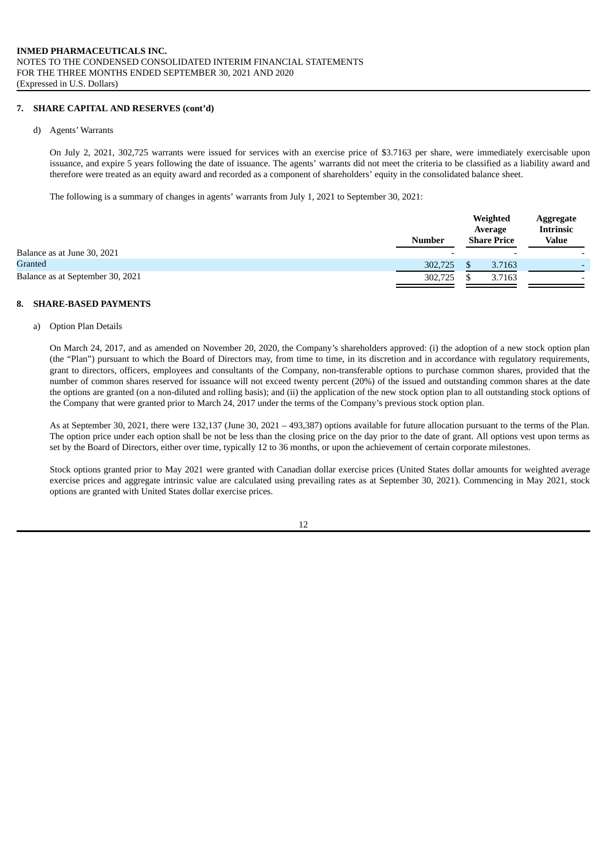## **7. SHARE CAPITAL AND RESERVES (cont'd)**

#### d) Agents' Warrants

On July 2, 2021, 302,725 warrants were issued for services with an exercise price of \$3.7163 per share, were immediately exercisable upon issuance, and expire 5 years following the date of issuance. The agents' warrants did not meet the criteria to be classified as a liability award and therefore were treated as an equity award and recorded as a component of shareholders' equity in the consolidated balance sheet.

The following is a summary of changes in agents' warrants from July 1, 2021 to September 30, 2021:

|                                  | Number  | Weighted<br>Average<br><b>Share Price</b> | Aggregate<br><b>Intrinsic</b><br>Value |
|----------------------------------|---------|-------------------------------------------|----------------------------------------|
| Balance as at June 30, 2021      |         | $\overline{\phantom{0}}$                  | $\overline{\phantom{0}}$               |
| Granted                          | 302,725 | 3.7163                                    |                                        |
| Balance as at September 30, 2021 | 302,725 | 3.7163                                    |                                        |

#### **8. SHARE-BASED PAYMENTS**

#### a) Option Plan Details

On March 24, 2017, and as amended on November 20, 2020, the Company's shareholders approved: (i) the adoption of a new stock option plan (the "Plan") pursuant to which the Board of Directors may, from time to time, in its discretion and in accordance with regulatory requirements, grant to directors, officers, employees and consultants of the Company, non-transferable options to purchase common shares, provided that the number of common shares reserved for issuance will not exceed twenty percent (20%) of the issued and outstanding common shares at the date the options are granted (on a non-diluted and rolling basis); and (ii) the application of the new stock option plan to all outstanding stock options of the Company that were granted prior to March 24, 2017 under the terms of the Company's previous stock option plan.

As at September 30, 2021, there were 132,137 (June 30, 2021 – 493,387) options available for future allocation pursuant to the terms of the Plan. The option price under each option shall be not be less than the closing price on the day prior to the date of grant. All options vest upon terms as set by the Board of Directors, either over time, typically 12 to 36 months, or upon the achievement of certain corporate milestones.

Stock options granted prior to May 2021 were granted with Canadian dollar exercise prices (United States dollar amounts for weighted average exercise prices and aggregate intrinsic value are calculated using prevailing rates as at September 30, 2021). Commencing in May 2021, stock options are granted with United States dollar exercise prices.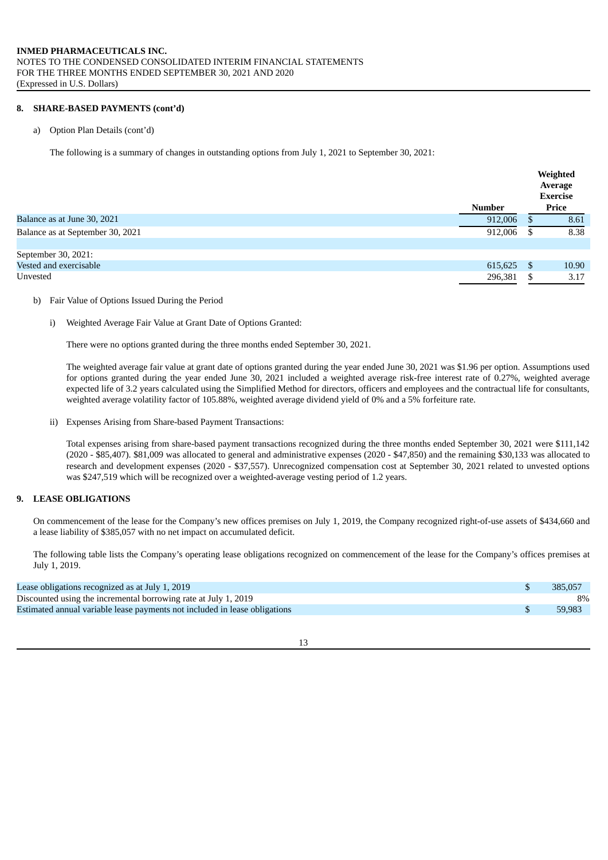## **8. SHARE-BASED PAYMENTS (cont'd)**

a) Option Plan Details (cont'd)

The following is a summary of changes in outstanding options from July 1, 2021 to September 30, 2021:

|                                  |               |              | Weighted<br>Average<br><b>Exercise</b> |
|----------------------------------|---------------|--------------|----------------------------------------|
|                                  | <b>Number</b> |              | Price                                  |
| Balance as at June 30, 2021      | 912,006       | Ж            | 8.61                                   |
| Balance as at September 30, 2021 | 912,006       | S            | 8.38                                   |
| September 30, 2021:              |               |              |                                        |
| Vested and exercisable           | 615,625       | $\mathbf{S}$ | 10.90                                  |
| Unvested                         | 296,381       |              | 3.17                                   |

- b) Fair Value of Options Issued During the Period
	- i) Weighted Average Fair Value at Grant Date of Options Granted:

There were no options granted during the three months ended September 30, 2021.

The weighted average fair value at grant date of options granted during the year ended June 30, 2021 was \$1.96 per option. Assumptions used for options granted during the year ended June 30, 2021 included a weighted average risk-free interest rate of 0.27%, weighted average expected life of 3.2 years calculated using the Simplified Method for directors, officers and employees and the contractual life for consultants, weighted average volatility factor of 105.88%, weighted average dividend yield of 0% and a 5% forfeiture rate.

ii) Expenses Arising from Share-based Payment Transactions:

Total expenses arising from share-based payment transactions recognized during the three months ended September 30, 2021 were \$111,142 (2020 - \$85,407). \$81,009 was allocated to general and administrative expenses (2020 - \$47,850) and the remaining \$30,133 was allocated to research and development expenses (2020 - \$37,557). Unrecognized compensation cost at September 30, 2021 related to unvested options was \$247,519 which will be recognized over a weighted-average vesting period of 1.2 years.

## **9. LEASE OBLIGATIONS**

On commencement of the lease for the Company's new offices premises on July 1, 2019, the Company recognized right-of-use assets of \$434,660 and a lease liability of \$385,057 with no net impact on accumulated deficit.

The following table lists the Company's operating lease obligations recognized on commencement of the lease for the Company's offices premises at July 1, 2019.

| Lease obligations recognized as at July 1, 2019                            | 385,057 |
|----------------------------------------------------------------------------|---------|
| Discounted using the incremental borrowing rate at July 1, 2019            | $8\%$   |
| Estimated annual variable lease payments not included in lease obligations | 59,983  |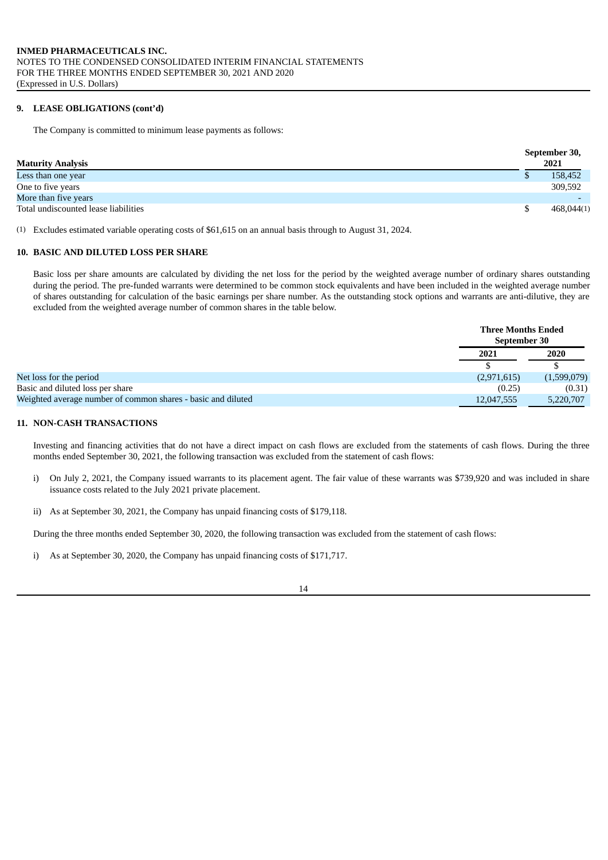## **9. LEASE OBLIGATIONS (cont'd)**

The Company is committed to minimum lease payments as follows:

| <b>Maturity Analysis</b>             |  | September 30,<br>2021 |  |
|--------------------------------------|--|-----------------------|--|
| Less than one year                   |  | 158,452               |  |
| One to five years                    |  | 309,592               |  |
| More than five years                 |  |                       |  |
| Total undiscounted lease liabilities |  | 468,044(1)            |  |

(1) Excludes estimated variable operating costs of \$61,615 on an annual basis through to August 31, 2024.

#### **10. BASIC AND DILUTED LOSS PER SHARE**

Basic loss per share amounts are calculated by dividing the net loss for the period by the weighted average number of ordinary shares outstanding during the period. The pre-funded warrants were determined to be common stock equivalents and have been included in the weighted average number of shares outstanding for calculation of the basic earnings per share number. As the outstanding stock options and warrants are anti-dilutive, they are excluded from the weighted average number of common shares in the table below.

|                                                              | <b>Three Months Ended</b><br><b>September 30</b> |             |
|--------------------------------------------------------------|--------------------------------------------------|-------------|
|                                                              | 2021                                             | 2020        |
|                                                              |                                                  |             |
| Net loss for the period                                      | (2,971,615)                                      | (1,599,079) |
| Basic and diluted loss per share                             | (0.25)                                           | (0.31)      |
| Weighted average number of common shares - basic and diluted | 12,047,555                                       | 5,220,707   |

#### **11. NON-CASH TRANSACTIONS**

Investing and financing activities that do not have a direct impact on cash flows are excluded from the statements of cash flows. During the three months ended September 30, 2021, the following transaction was excluded from the statement of cash flows:

- i) On July 2, 2021, the Company issued warrants to its placement agent. The fair value of these warrants was \$739,920 and was included in share issuance costs related to the July 2021 private placement.
- ii) As at September 30, 2021, the Company has unpaid financing costs of \$179,118.

During the three months ended September 30, 2020, the following transaction was excluded from the statement of cash flows:

i) As at September 30, 2020, the Company has unpaid financing costs of \$171,717.

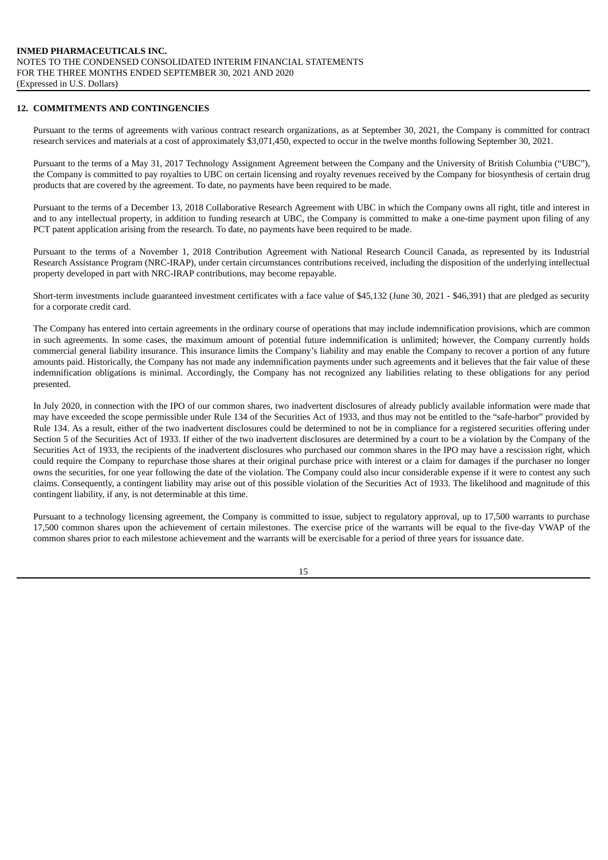## **12. COMMITMENTS AND CONTINGENCIES**

Pursuant to the terms of agreements with various contract research organizations, as at September 30, 2021, the Company is committed for contract research services and materials at a cost of approximately \$3,071,450, expected to occur in the twelve months following September 30, 2021.

Pursuant to the terms of a May 31, 2017 Technology Assignment Agreement between the Company and the University of British Columbia ("UBC"), the Company is committed to pay royalties to UBC on certain licensing and royalty revenues received by the Company for biosynthesis of certain drug products that are covered by the agreement. To date, no payments have been required to be made.

Pursuant to the terms of a December 13, 2018 Collaborative Research Agreement with UBC in which the Company owns all right, title and interest in and to any intellectual property, in addition to funding research at UBC, the Company is committed to make a one-time payment upon filing of any PCT patent application arising from the research. To date, no payments have been required to be made.

Pursuant to the terms of a November 1, 2018 Contribution Agreement with National Research Council Canada, as represented by its Industrial Research Assistance Program (NRC-IRAP), under certain circumstances contributions received, including the disposition of the underlying intellectual property developed in part with NRC-IRAP contributions, may become repayable.

Short-term investments include guaranteed investment certificates with a face value of \$45,132 (June 30, 2021 - \$46,391) that are pledged as security for a corporate credit card.

The Company has entered into certain agreements in the ordinary course of operations that may include indemnification provisions, which are common in such agreements. In some cases, the maximum amount of potential future indemnification is unlimited; however, the Company currently holds commercial general liability insurance. This insurance limits the Company's liability and may enable the Company to recover a portion of any future amounts paid. Historically, the Company has not made any indemnification payments under such agreements and it believes that the fair value of these indemnification obligations is minimal. Accordingly, the Company has not recognized any liabilities relating to these obligations for any period presented.

In July 2020, in connection with the IPO of our common shares, two inadvertent disclosures of already publicly available information were made that may have exceeded the scope permissible under Rule 134 of the Securities Act of 1933, and thus may not be entitled to the "safe-harbor" provided by Rule 134. As a result, either of the two inadvertent disclosures could be determined to not be in compliance for a registered securities offering under Section 5 of the Securities Act of 1933. If either of the two inadvertent disclosures are determined by a court to be a violation by the Company of the Securities Act of 1933, the recipients of the inadvertent disclosures who purchased our common shares in the IPO may have a rescission right, which could require the Company to repurchase those shares at their original purchase price with interest or a claim for damages if the purchaser no longer owns the securities, for one year following the date of the violation. The Company could also incur considerable expense if it were to contest any such claims. Consequently, a contingent liability may arise out of this possible violation of the Securities Act of 1933. The likelihood and magnitude of this contingent liability, if any, is not determinable at this time.

Pursuant to a technology licensing agreement, the Company is committed to issue, subject to regulatory approval, up to 17,500 warrants to purchase 17,500 common shares upon the achievement of certain milestones. The exercise price of the warrants will be equal to the five-day VWAP of the common shares prior to each milestone achievement and the warrants will be exercisable for a period of three years for issuance date.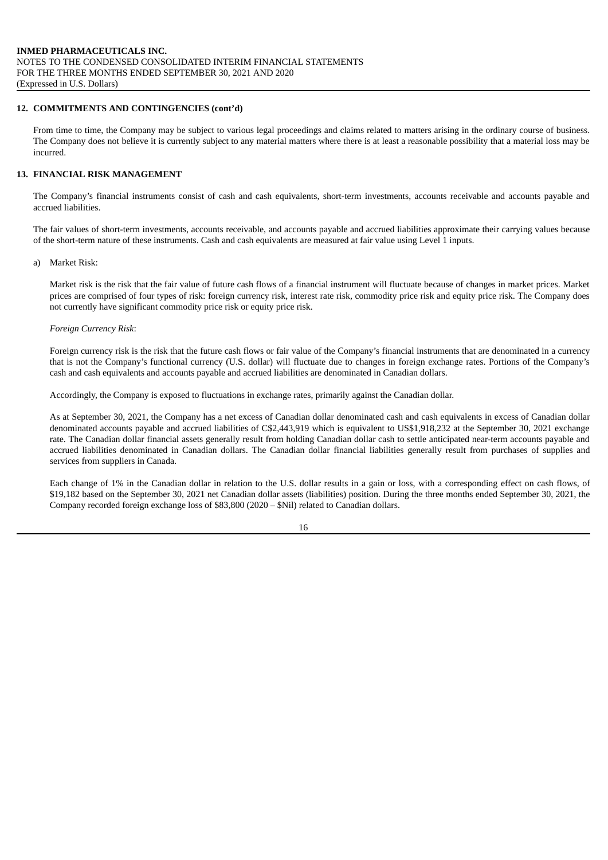#### **12. COMMITMENTS AND CONTINGENCIES (cont'd)**

From time to time, the Company may be subject to various legal proceedings and claims related to matters arising in the ordinary course of business. The Company does not believe it is currently subject to any material matters where there is at least a reasonable possibility that a material loss may be incurred.

## **13. FINANCIAL RISK MANAGEMENT**

The Company's financial instruments consist of cash and cash equivalents, short-term investments, accounts receivable and accounts payable and accrued liabilities.

The fair values of short-term investments, accounts receivable, and accounts payable and accrued liabilities approximate their carrying values because of the short-term nature of these instruments. Cash and cash equivalents are measured at fair value using Level 1 inputs.

a) Market Risk:

Market risk is the risk that the fair value of future cash flows of a financial instrument will fluctuate because of changes in market prices. Market prices are comprised of four types of risk: foreign currency risk, interest rate risk, commodity price risk and equity price risk. The Company does not currently have significant commodity price risk or equity price risk.

#### *Foreign Currency Risk*:

Foreign currency risk is the risk that the future cash flows or fair value of the Company's financial instruments that are denominated in a currency that is not the Company's functional currency (U.S. dollar) will fluctuate due to changes in foreign exchange rates. Portions of the Company's cash and cash equivalents and accounts payable and accrued liabilities are denominated in Canadian dollars.

Accordingly, the Company is exposed to fluctuations in exchange rates, primarily against the Canadian dollar.

As at September 30, 2021, the Company has a net excess of Canadian dollar denominated cash and cash equivalents in excess of Canadian dollar denominated accounts payable and accrued liabilities of C\$2,443,919 which is equivalent to US\$1,918,232 at the September 30, 2021 exchange rate. The Canadian dollar financial assets generally result from holding Canadian dollar cash to settle anticipated near-term accounts payable and accrued liabilities denominated in Canadian dollars. The Canadian dollar financial liabilities generally result from purchases of supplies and services from suppliers in Canada.

Each change of 1% in the Canadian dollar in relation to the U.S. dollar results in a gain or loss, with a corresponding effect on cash flows, of \$19,182 based on the September 30, 2021 net Canadian dollar assets (liabilities) position. During the three months ended September 30, 2021, the Company recorded foreign exchange loss of \$83,800 (2020 – \$Nil) related to Canadian dollars.

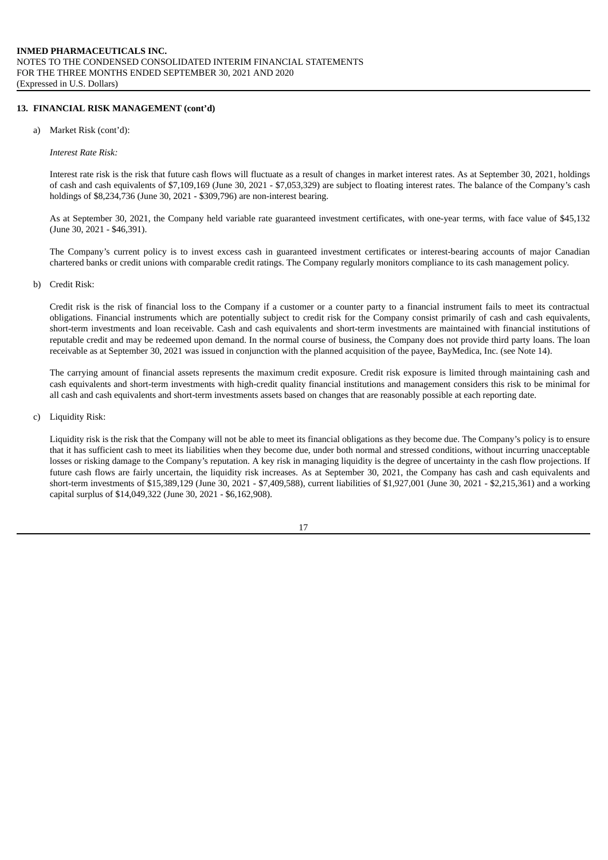#### **13. FINANCIAL RISK MANAGEMENT (cont'd)**

a) Market Risk (cont'd):

#### *Interest Rate Risk:*

Interest rate risk is the risk that future cash flows will fluctuate as a result of changes in market interest rates. As at September 30, 2021, holdings of cash and cash equivalents of \$7,109,169 (June 30, 2021 - \$7,053,329) are subject to floating interest rates. The balance of the Company's cash holdings of \$8,234,736 (June 30, 2021 - \$309,796) are non-interest bearing.

As at September 30, 2021, the Company held variable rate guaranteed investment certificates, with one-year terms, with face value of \$45,132 (June 30, 2021 - \$46,391).

The Company's current policy is to invest excess cash in guaranteed investment certificates or interest-bearing accounts of major Canadian chartered banks or credit unions with comparable credit ratings. The Company regularly monitors compliance to its cash management policy.

#### b) Credit Risk:

Credit risk is the risk of financial loss to the Company if a customer or a counter party to a financial instrument fails to meet its contractual obligations. Financial instruments which are potentially subject to credit risk for the Company consist primarily of cash and cash equivalents, short-term investments and loan receivable. Cash and cash equivalents and short-term investments are maintained with financial institutions of reputable credit and may be redeemed upon demand. In the normal course of business, the Company does not provide third party loans. The loan receivable as at September 30, 2021 was issued in conjunction with the planned acquisition of the payee, BayMedica, Inc. (see Note 14).

The carrying amount of financial assets represents the maximum credit exposure. Credit risk exposure is limited through maintaining cash and cash equivalents and short-term investments with high-credit quality financial institutions and management considers this risk to be minimal for all cash and cash equivalents and short-term investments assets based on changes that are reasonably possible at each reporting date.

## c) Liquidity Risk:

Liquidity risk is the risk that the Company will not be able to meet its financial obligations as they become due. The Company's policy is to ensure that it has sufficient cash to meet its liabilities when they become due, under both normal and stressed conditions, without incurring unacceptable losses or risking damage to the Company's reputation. A key risk in managing liquidity is the degree of uncertainty in the cash flow projections. If future cash flows are fairly uncertain, the liquidity risk increases. As at September 30, 2021, the Company has cash and cash equivalents and short-term investments of \$15,389,129 (June 30, 2021 - \$7,409,588), current liabilities of \$1,927,001 (June 30, 2021 - \$2,215,361) and a working capital surplus of \$14,049,322 (June 30, 2021 - \$6,162,908).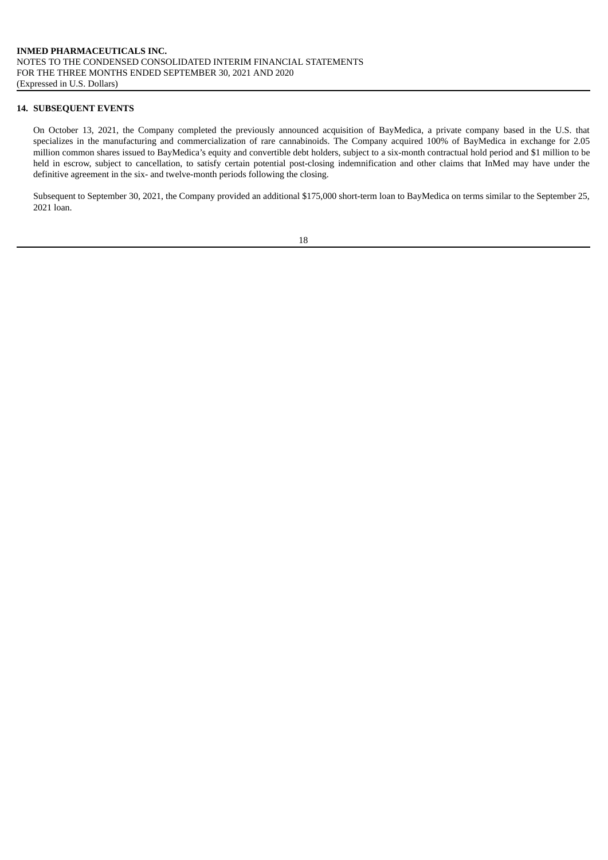## **14. SUBSEQUENT EVENTS**

On October 13, 2021, the Company completed the previously announced acquisition of BayMedica, a private company based in the U.S. that specializes in the manufacturing and commercialization of rare cannabinoids. The Company acquired 100% of BayMedica in exchange for 2.05 million common shares issued to BayMedica's equity and convertible debt holders, subject to a six-month contractual hold period and \$1 million to be held in escrow, subject to cancellation, to satisfy certain potential post-closing indemnification and other claims that InMed may have under the definitive agreement in the six- and twelve-month periods following the closing.

Subsequent to September 30, 2021, the Company provided an additional \$175,000 short-term loan to BayMedica on terms similar to the September 25, 2021 loan.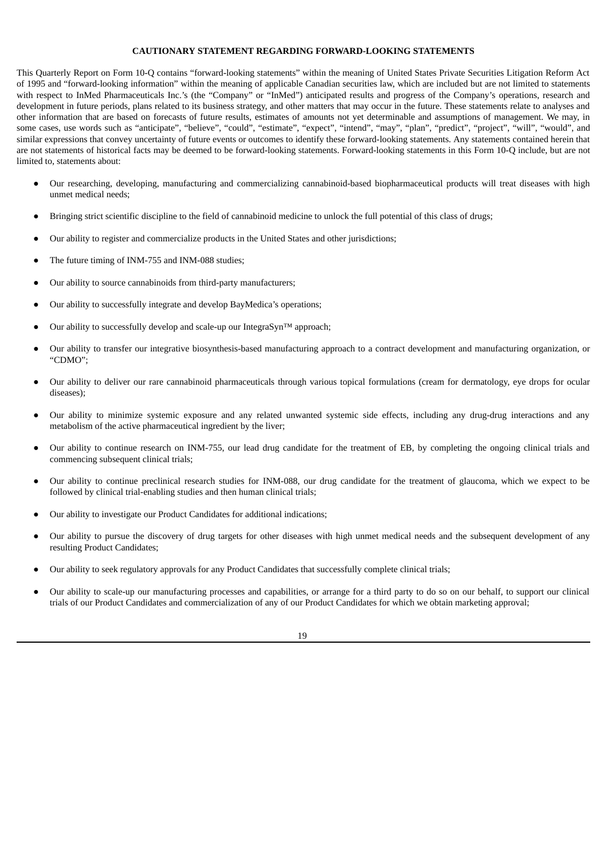#### **CAUTIONARY STATEMENT REGARDING FORWARD-LOOKING STATEMENTS**

This Quarterly Report on Form 10-Q contains "forward-looking statements" within the meaning of United States Private Securities Litigation Reform Act of 1995 and "forward-looking information" within the meaning of applicable Canadian securities law, which are included but are not limited to statements with respect to InMed Pharmaceuticals Inc.'s (the "Company" or "InMed") anticipated results and progress of the Company's operations, research and development in future periods, plans related to its business strategy, and other matters that may occur in the future. These statements relate to analyses and other information that are based on forecasts of future results, estimates of amounts not yet determinable and assumptions of management. We may, in some cases, use words such as "anticipate", "believe", "could", "estimate", "expect", "intend", "may", "plan", "predict", "project", "will", "would", and similar expressions that convey uncertainty of future events or outcomes to identify these forward-looking statements. Any statements contained herein that are not statements of historical facts may be deemed to be forward-looking statements. Forward-looking statements in this Form 10-Q include, but are not limited to, statements about:

- Our researching, developing, manufacturing and commercializing cannabinoid-based biopharmaceutical products will treat diseases with high unmet medical needs;
- Bringing strict scientific discipline to the field of cannabinoid medicine to unlock the full potential of this class of drugs;
- Our ability to register and commercialize products in the United States and other jurisdictions;
- The future timing of INM-755 and INM-088 studies;
- Our ability to source cannabinoids from third-party manufacturers;
- Our ability to successfully integrate and develop BayMedica's operations;
- Our ability to successfully develop and scale-up our IntegraSyn<sup>™</sup> approach;
- Our ability to transfer our integrative biosynthesis-based manufacturing approach to a contract development and manufacturing organization, or "CDMO";
- Our ability to deliver our rare cannabinoid pharmaceuticals through various topical formulations (cream for dermatology, eye drops for ocular diseases);
- Our ability to minimize systemic exposure and any related unwanted systemic side effects, including any drug-drug interactions and any metabolism of the active pharmaceutical ingredient by the liver;
- Our ability to continue research on INM-755, our lead drug candidate for the treatment of EB, by completing the ongoing clinical trials and commencing subsequent clinical trials;
- Our ability to continue preclinical research studies for INM-088, our drug candidate for the treatment of glaucoma, which we expect to be followed by clinical trial-enabling studies and then human clinical trials;
- Our ability to investigate our Product Candidates for additional indications;
- Our ability to pursue the discovery of drug targets for other diseases with high unmet medical needs and the subsequent development of any resulting Product Candidates;
- Our ability to seek regulatory approvals for any Product Candidates that successfully complete clinical trials;
- Our ability to scale-up our manufacturing processes and capabilities, or arrange for a third party to do so on our behalf, to support our clinical trials of our Product Candidates and commercialization of any of our Product Candidates for which we obtain marketing approval;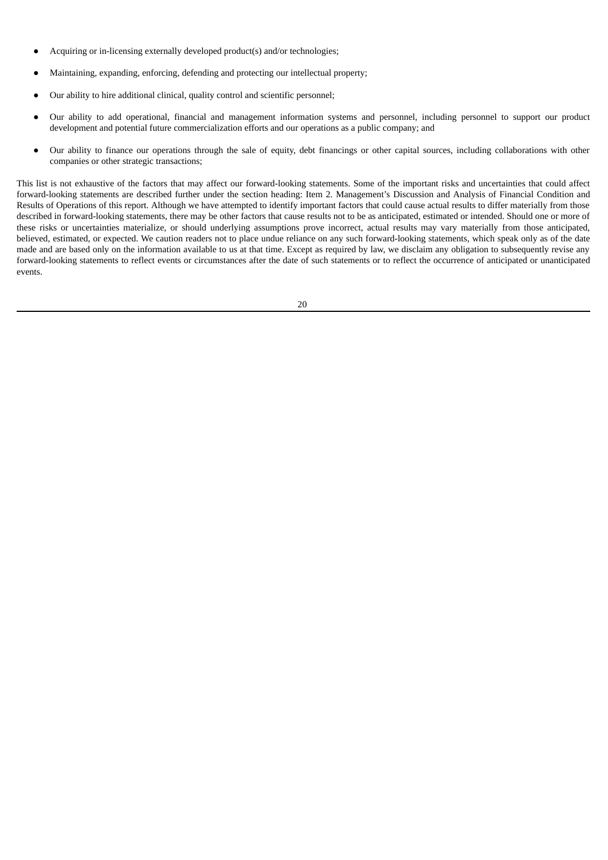- Acquiring or in-licensing externally developed product(s) and/or technologies;
- Maintaining, expanding, enforcing, defending and protecting our intellectual property;
- Our ability to hire additional clinical, quality control and scientific personnel;
- Our ability to add operational, financial and management information systems and personnel, including personnel to support our product development and potential future commercialization efforts and our operations as a public company; and
- Our ability to finance our operations through the sale of equity, debt financings or other capital sources, including collaborations with other companies or other strategic transactions;

This list is not exhaustive of the factors that may affect our forward-looking statements. Some of the important risks and uncertainties that could affect forward-looking statements are described further under the section heading: Item 2. Management's Discussion and Analysis of Financial Condition and Results of Operations of this report. Although we have attempted to identify important factors that could cause actual results to differ materially from those described in forward-looking statements, there may be other factors that cause results not to be as anticipated, estimated or intended. Should one or more of these risks or uncertainties materialize, or should underlying assumptions prove incorrect, actual results may vary materially from those anticipated, believed, estimated, or expected. We caution readers not to place undue reliance on any such forward-looking statements, which speak only as of the date made and are based only on the information available to us at that time. Except as required by law, we disclaim any obligation to subsequently revise any forward-looking statements to reflect events or circumstances after the date of such statements or to reflect the occurrence of anticipated or unanticipated events.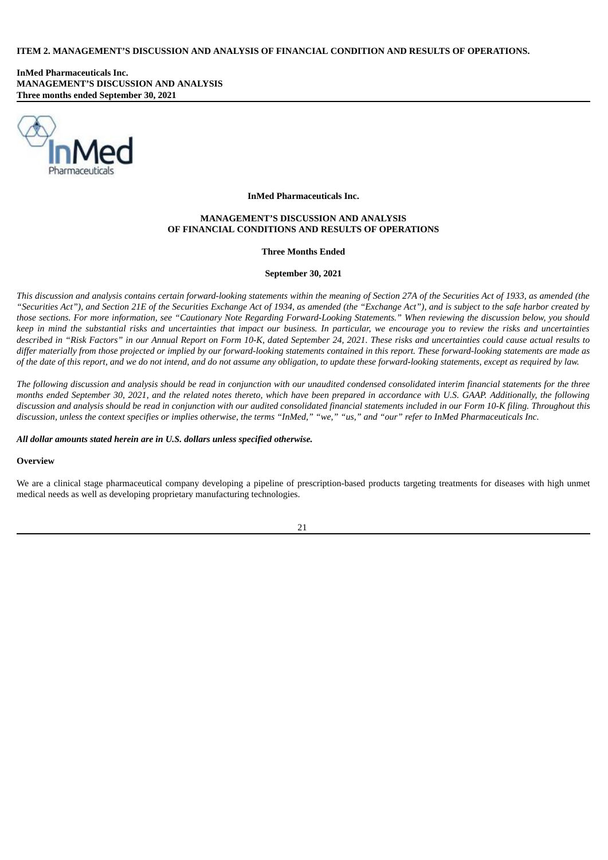#### <span id="page-22-0"></span>**ITEM 2. MANAGEMENT'S DISCUSSION AND ANALYSIS OF FINANCIAL CONDITION AND RESULTS OF OPERATIONS.**

**InMed Pharmaceuticals Inc. MANAGEMENT'S DISCUSSION AND ANALYSIS Three months ended September 30, 2021**



#### **InMed Pharmaceuticals Inc.**

# **MANAGEMENT'S DISCUSSION AND ANALYSIS OF FINANCIAL CONDITIONS AND RESULTS OF OPERATIONS**

#### **Three Months Ended**

#### **September 30, 2021**

This discussion and analysis contains certain forward-looking statements within the meaning of Section 27A of the Securities Act of 1933, as amended (the "Securities Act"), and Section 21E of the Securities Exchange Act of 1934, as amended (the "Exchange Act"), and is subject to the safe harbor created by those sections. For more information, see "Cautionary Note Regarding Forward-Looking Statements." When reviewing the discussion below, you should keep in mind the substantial risks and uncertainties that impact our business. In particular, we encourage you to review the risks and uncertainties described in "Risk Factors" in our Annual Report on Form 10-K, dated September 24, 2021. These risks and uncertainties could cause actual results to differ materially from those projected or implied by our forward-looking statements contained in this report. These forward-looking statements are made as of the date of this report, and we do not intend, and do not assume any obligation, to update these forward-looking statements, except as required by law.

The following discussion and analysis should be read in conjunction with our unaudited condensed consolidated interim financial statements for the three months ended September 30, 2021, and the related notes thereto, which have been prepared in accordance with U.S. GAAP. Additionally, the following discussion and analysis should be read in conjunction with our audited consolidated financial statements included in our Form 10-K filing. Throughout this discussion, unless the context specifies or implies otherwise, the terms "InMed," "we," "us," and "our" refer to InMed Pharmaceuticals Inc.

#### *All dollar amounts stated herein are in U.S. dollars unless specified otherwise.*

#### **Overview**

We are a clinical stage pharmaceutical company developing a pipeline of prescription-based products targeting treatments for diseases with high unmet medical needs as well as developing proprietary manufacturing technologies.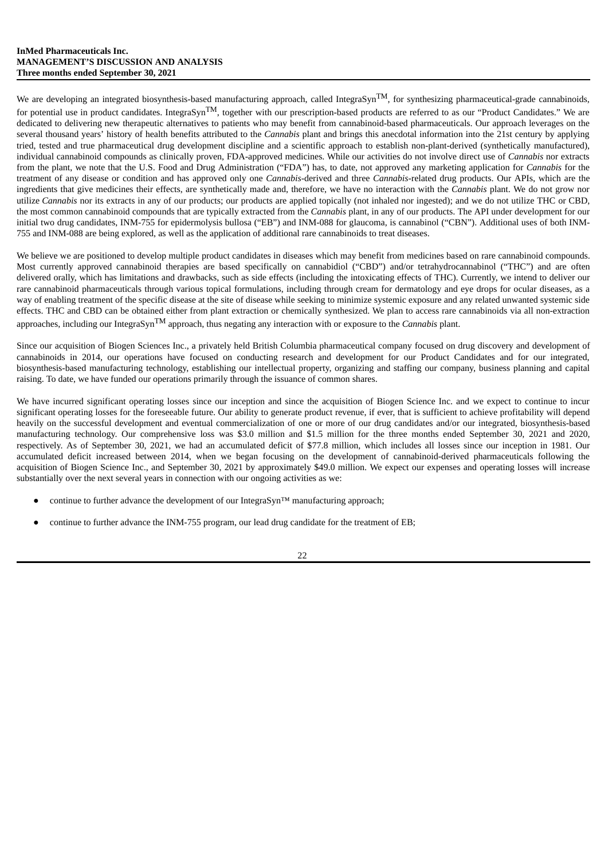#### **InMed Pharmaceuticals Inc. MANAGEMENT'S DISCUSSION AND ANALYSIS Three months ended September 30, 2021**

We are developing an integrated biosynthesis-based manufacturing approach, called IntegraSyn<sup>TM</sup>, for synthesizing pharmaceutical-grade cannabinoids, for potential use in product candidates. IntegraSyn<sup>TM</sup>, together with our prescription-based products are referred to as our "Product Candidates." We are dedicated to delivering new therapeutic alternatives to patients who may benefit from cannabinoid-based pharmaceuticals. Our approach leverages on the several thousand years' history of health benefits attributed to the *Cannabis* plant and brings this anecdotal information into the 21st century by applying tried, tested and true pharmaceutical drug development discipline and a scientific approach to establish non-plant-derived (synthetically manufactured), individual cannabinoid compounds as clinically proven, FDA-approved medicines. While our activities do not involve direct use of *Cannabis* nor extracts from the plant, we note that the U.S. Food and Drug Administration ("FDA") has, to date, not approved any marketing application for *Cannabis* for the treatment of any disease or condition and has approved only one *Cannabis*-derived and three *Cannabis*-related drug products. Our APIs, which are the ingredients that give medicines their effects, are synthetically made and, therefore, we have no interaction with the *Cannabis* plant. We do not grow nor utilize *Cannabis* nor its extracts in any of our products; our products are applied topically (not inhaled nor ingested); and we do not utilize THC or CBD, the most common cannabinoid compounds that are typically extracted from the *Cannabis* plant, in any of our products. The API under development for our initial two drug candidates, INM-755 for epidermolysis bullosa ("EB") and INM-088 for glaucoma, is cannabinol ("CBN"). Additional uses of both INM-755 and INM-088 are being explored, as well as the application of additional rare cannabinoids to treat diseases.

We believe we are positioned to develop multiple product candidates in diseases which may benefit from medicines based on rare cannabinoid compounds. Most currently approved cannabinoid therapies are based specifically on cannabidiol ("CBD") and/or tetrahydrocannabinol ("THC") and are often delivered orally, which has limitations and drawbacks, such as side effects (including the intoxicating effects of THC). Currently, we intend to deliver our rare cannabinoid pharmaceuticals through various topical formulations, including through cream for dermatology and eye drops for ocular diseases, as a way of enabling treatment of the specific disease at the site of disease while seeking to minimize systemic exposure and any related unwanted systemic side effects. THC and CBD can be obtained either from plant extraction or chemically synthesized. We plan to access rare cannabinoids via all non-extraction approaches, including our IntegraSynTM approach, thus negating any interaction with or exposure to the *Cannabis* plant.

Since our acquisition of Biogen Sciences Inc., a privately held British Columbia pharmaceutical company focused on drug discovery and development of cannabinoids in 2014, our operations have focused on conducting research and development for our Product Candidates and for our integrated, biosynthesis-based manufacturing technology, establishing our intellectual property, organizing and staffing our company, business planning and capital raising. To date, we have funded our operations primarily through the issuance of common shares.

We have incurred significant operating losses since our inception and since the acquisition of Biogen Science Inc. and we expect to continue to incur significant operating losses for the foreseeable future. Our ability to generate product revenue, if ever, that is sufficient to achieve profitability will depend heavily on the successful development and eventual commercialization of one or more of our drug candidates and/or our integrated, biosynthesis-based manufacturing technology. Our comprehensive loss was \$3.0 million and \$1.5 million for the three months ended September 30, 2021 and 2020, respectively. As of September 30, 2021, we had an accumulated deficit of \$77.8 million, which includes all losses since our inception in 1981. Our accumulated deficit increased between 2014, when we began focusing on the development of cannabinoid-derived pharmaceuticals following the acquisition of Biogen Science Inc., and September 30, 2021 by approximately \$49.0 million. We expect our expenses and operating losses will increase substantially over the next several years in connection with our ongoing activities as we:

- continue to further advance the development of our IntegraSyn™ manufacturing approach;
- continue to further advance the INM-755 program, our lead drug candidate for the treatment of EB;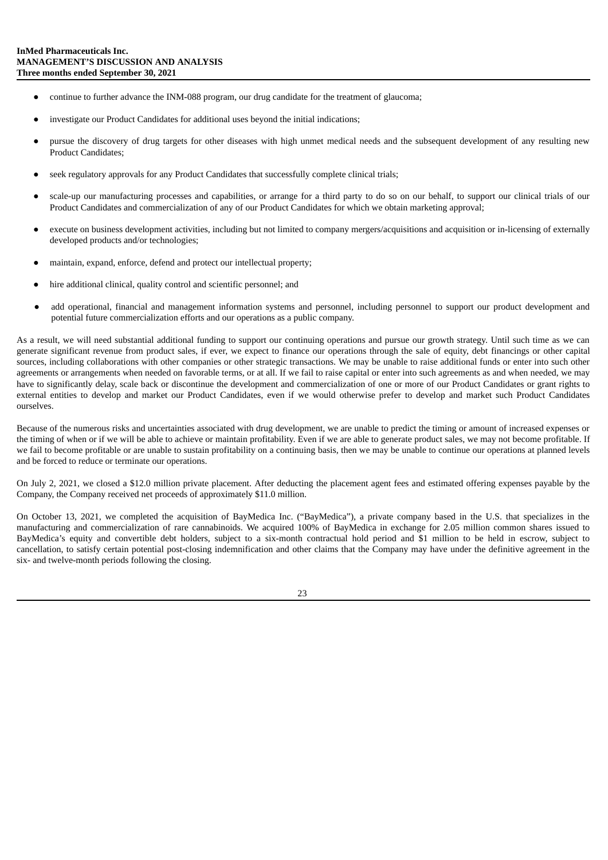- continue to further advance the INM-088 program, our drug candidate for the treatment of glaucoma;
- investigate our Product Candidates for additional uses beyond the initial indications;
- pursue the discovery of drug targets for other diseases with high unmet medical needs and the subsequent development of any resulting new Product Candidates;
- seek regulatory approvals for any Product Candidates that successfully complete clinical trials;
- scale-up our manufacturing processes and capabilities, or arrange for a third party to do so on our behalf, to support our clinical trials of our Product Candidates and commercialization of any of our Product Candidates for which we obtain marketing approval;
- execute on business development activities, including but not limited to company mergers/acquisitions and acquisition or in-licensing of externally developed products and/or technologies;
- maintain, expand, enforce, defend and protect our intellectual property;
- hire additional clinical, quality control and scientific personnel; and
- add operational, financial and management information systems and personnel, including personnel to support our product development and potential future commercialization efforts and our operations as a public company.

As a result, we will need substantial additional funding to support our continuing operations and pursue our growth strategy. Until such time as we can generate significant revenue from product sales, if ever, we expect to finance our operations through the sale of equity, debt financings or other capital sources, including collaborations with other companies or other strategic transactions. We may be unable to raise additional funds or enter into such other agreements or arrangements when needed on favorable terms, or at all. If we fail to raise capital or enter into such agreements as and when needed, we may have to significantly delay, scale back or discontinue the development and commercialization of one or more of our Product Candidates or grant rights to external entities to develop and market our Product Candidates, even if we would otherwise prefer to develop and market such Product Candidates ourselves.

Because of the numerous risks and uncertainties associated with drug development, we are unable to predict the timing or amount of increased expenses or the timing of when or if we will be able to achieve or maintain profitability. Even if we are able to generate product sales, we may not become profitable. If we fail to become profitable or are unable to sustain profitability on a continuing basis, then we may be unable to continue our operations at planned levels and be forced to reduce or terminate our operations.

On July 2, 2021, we closed a \$12.0 million private placement. After deducting the placement agent fees and estimated offering expenses payable by the Company, the Company received net proceeds of approximately \$11.0 million.

On October 13, 2021, we completed the acquisition of BayMedica Inc. ("BayMedica"), a private company based in the U.S. that specializes in the manufacturing and commercialization of rare cannabinoids. We acquired 100% of BayMedica in exchange for 2.05 million common shares issued to BayMedica's equity and convertible debt holders, subject to a six-month contractual hold period and \$1 million to be held in escrow, subject to cancellation, to satisfy certain potential post-closing indemnification and other claims that the Company may have under the definitive agreement in the six- and twelve-month periods following the closing.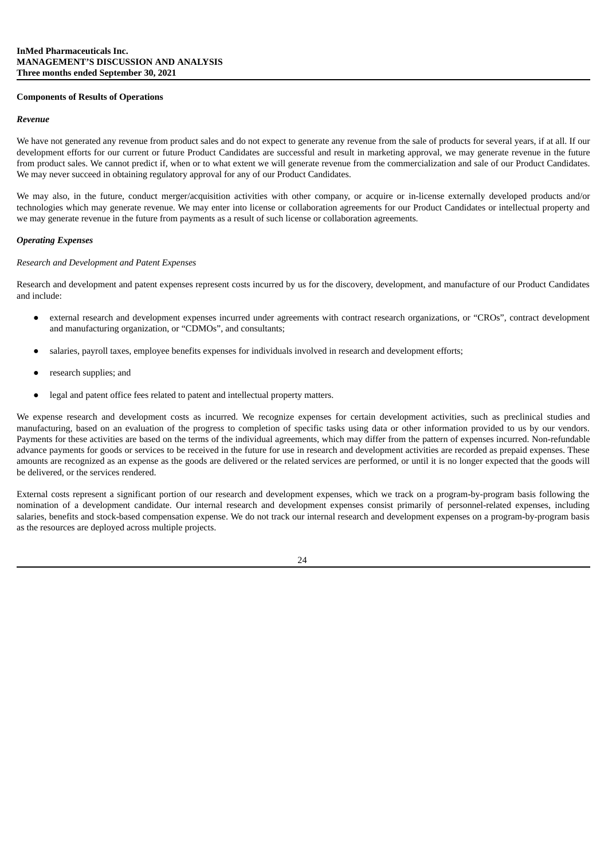#### **Components of Results of Operations**

#### *Revenue*

We have not generated any revenue from product sales and do not expect to generate any revenue from the sale of products for several years, if at all. If our development efforts for our current or future Product Candidates are successful and result in marketing approval, we may generate revenue in the future from product sales. We cannot predict if, when or to what extent we will generate revenue from the commercialization and sale of our Product Candidates. We may never succeed in obtaining regulatory approval for any of our Product Candidates.

We may also, in the future, conduct merger/acquisition activities with other company, or acquire or in-license externally developed products and/or technologies which may generate revenue. We may enter into license or collaboration agreements for our Product Candidates or intellectual property and we may generate revenue in the future from payments as a result of such license or collaboration agreements.

## *Operating Expenses*

#### *Research and Development and Patent Expenses*

Research and development and patent expenses represent costs incurred by us for the discovery, development, and manufacture of our Product Candidates and include:

- external research and development expenses incurred under agreements with contract research organizations, or "CROs", contract development and manufacturing organization, or "CDMOs", and consultants;
- salaries, payroll taxes, employee benefits expenses for individuals involved in research and development efforts;
- research supplies; and
- legal and patent office fees related to patent and intellectual property matters.

We expense research and development costs as incurred. We recognize expenses for certain development activities, such as preclinical studies and manufacturing, based on an evaluation of the progress to completion of specific tasks using data or other information provided to us by our vendors. Payments for these activities are based on the terms of the individual agreements, which may differ from the pattern of expenses incurred. Non-refundable advance payments for goods or services to be received in the future for use in research and development activities are recorded as prepaid expenses. These amounts are recognized as an expense as the goods are delivered or the related services are performed, or until it is no longer expected that the goods will be delivered, or the services rendered.

External costs represent a significant portion of our research and development expenses, which we track on a program-by-program basis following the nomination of a development candidate. Our internal research and development expenses consist primarily of personnel-related expenses, including salaries, benefits and stock-based compensation expense. We do not track our internal research and development expenses on a program-by-program basis as the resources are deployed across multiple projects.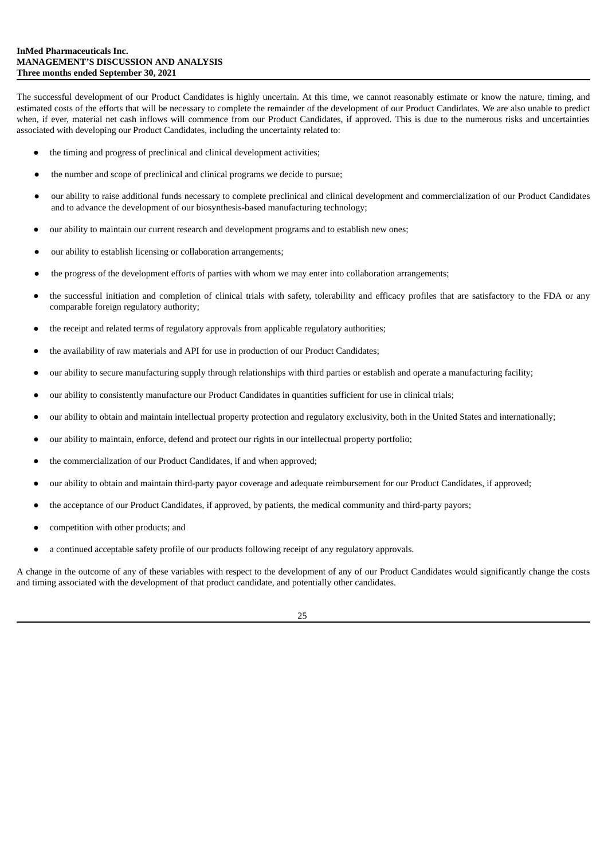#### **InMed Pharmaceuticals Inc. MANAGEMENT'S DISCUSSION AND ANALYSIS Three months ended September 30, 2021**

The successful development of our Product Candidates is highly uncertain. At this time, we cannot reasonably estimate or know the nature, timing, and estimated costs of the efforts that will be necessary to complete the remainder of the development of our Product Candidates. We are also unable to predict when, if ever, material net cash inflows will commence from our Product Candidates, if approved. This is due to the numerous risks and uncertainties associated with developing our Product Candidates, including the uncertainty related to:

- the timing and progress of preclinical and clinical development activities;
- the number and scope of preclinical and clinical programs we decide to pursue;
- our ability to raise additional funds necessary to complete preclinical and clinical development and commercialization of our Product Candidates and to advance the development of our biosynthesis-based manufacturing technology;
- our ability to maintain our current research and development programs and to establish new ones;
- our ability to establish licensing or collaboration arrangements;
- the progress of the development efforts of parties with whom we may enter into collaboration arrangements;
- the successful initiation and completion of clinical trials with safety, tolerability and efficacy profiles that are satisfactory to the FDA or any comparable foreign regulatory authority;
- the receipt and related terms of regulatory approvals from applicable regulatory authorities;
- the availability of raw materials and API for use in production of our Product Candidates;
- our ability to secure manufacturing supply through relationships with third parties or establish and operate a manufacturing facility;
- our ability to consistently manufacture our Product Candidates in quantities sufficient for use in clinical trials;
- our ability to obtain and maintain intellectual property protection and regulatory exclusivity, both in the United States and internationally;
- our ability to maintain, enforce, defend and protect our rights in our intellectual property portfolio;
- the commercialization of our Product Candidates, if and when approved;
- our ability to obtain and maintain third-party payor coverage and adequate reimbursement for our Product Candidates, if approved;
- the acceptance of our Product Candidates, if approved, by patients, the medical community and third-party payors;
- competition with other products; and
- a continued acceptable safety profile of our products following receipt of any regulatory approvals.

A change in the outcome of any of these variables with respect to the development of any of our Product Candidates would significantly change the costs and timing associated with the development of that product candidate, and potentially other candidates.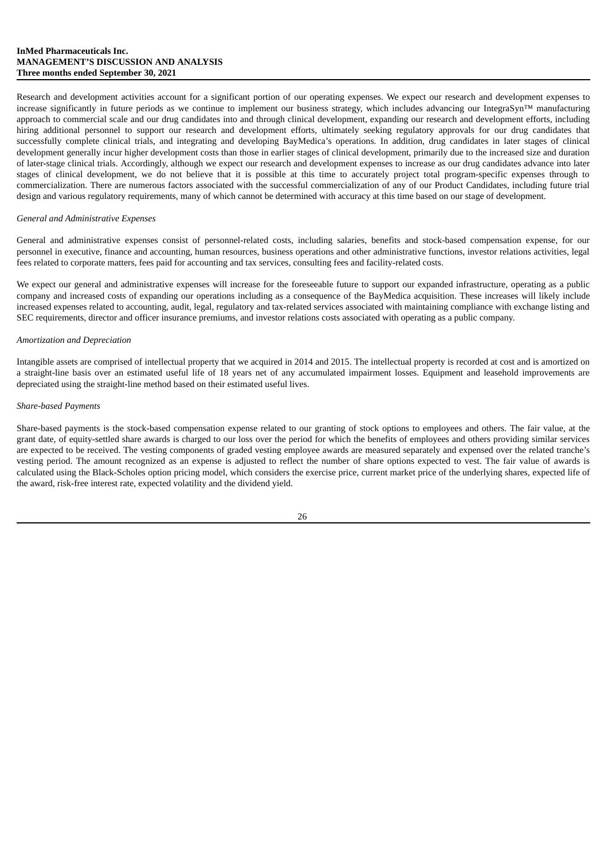#### **InMed Pharmaceuticals Inc. MANAGEMENT'S DISCUSSION AND ANALYSIS Three months ended September 30, 2021**

Research and development activities account for a significant portion of our operating expenses. We expect our research and development expenses to increase significantly in future periods as we continue to implement our business strategy, which includes advancing our IntegraSyn™ manufacturing approach to commercial scale and our drug candidates into and through clinical development, expanding our research and development efforts, including hiring additional personnel to support our research and development efforts, ultimately seeking regulatory approvals for our drug candidates that successfully complete clinical trials, and integrating and developing BayMedica's operations. In addition, drug candidates in later stages of clinical development generally incur higher development costs than those in earlier stages of clinical development, primarily due to the increased size and duration of later-stage clinical trials. Accordingly, although we expect our research and development expenses to increase as our drug candidates advance into later stages of clinical development, we do not believe that it is possible at this time to accurately project total program-specific expenses through to commercialization. There are numerous factors associated with the successful commercialization of any of our Product Candidates, including future trial design and various regulatory requirements, many of which cannot be determined with accuracy at this time based on our stage of development.

## *General and Administrative Expenses*

General and administrative expenses consist of personnel-related costs, including salaries, benefits and stock-based compensation expense, for our personnel in executive, finance and accounting, human resources, business operations and other administrative functions, investor relations activities, legal fees related to corporate matters, fees paid for accounting and tax services, consulting fees and facility-related costs.

We expect our general and administrative expenses will increase for the foreseeable future to support our expanded infrastructure, operating as a public company and increased costs of expanding our operations including as a consequence of the BayMedica acquisition. These increases will likely include increased expenses related to accounting, audit, legal, regulatory and tax-related services associated with maintaining compliance with exchange listing and SEC requirements, director and officer insurance premiums, and investor relations costs associated with operating as a public company.

#### *Amortization and Depreciation*

Intangible assets are comprised of intellectual property that we acquired in 2014 and 2015. The intellectual property is recorded at cost and is amortized on a straight-line basis over an estimated useful life of 18 years net of any accumulated impairment losses. Equipment and leasehold improvements are depreciated using the straight-line method based on their estimated useful lives.

#### *Share-based Payments*

Share-based payments is the stock-based compensation expense related to our granting of stock options to employees and others. The fair value, at the grant date, of equity-settled share awards is charged to our loss over the period for which the benefits of employees and others providing similar services are expected to be received. The vesting components of graded vesting employee awards are measured separately and expensed over the related tranche's vesting period. The amount recognized as an expense is adjusted to reflect the number of share options expected to vest. The fair value of awards is calculated using the Black-Scholes option pricing model, which considers the exercise price, current market price of the underlying shares, expected life of the award, risk-free interest rate, expected volatility and the dividend yield.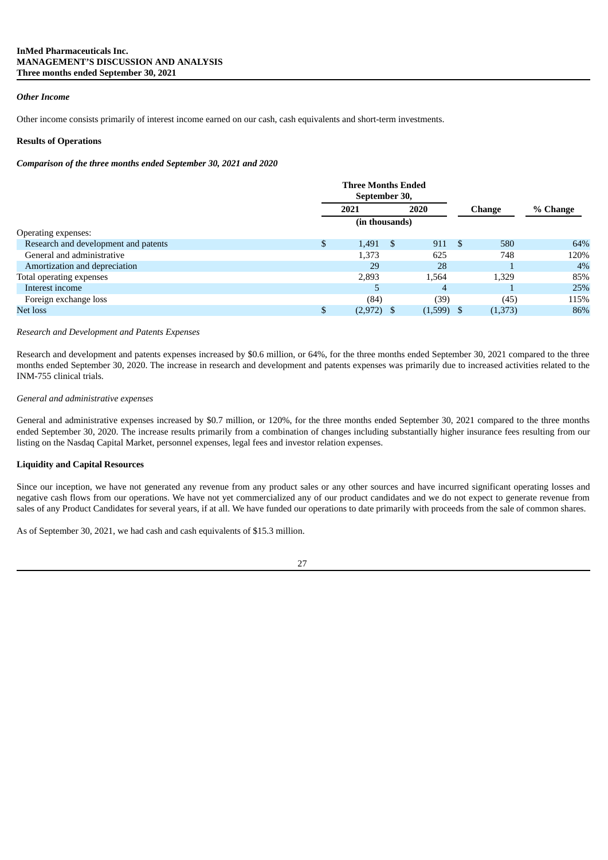#### *Other Income*

Other income consists primarily of interest income earned on our cash, cash equivalents and short-term investments.

#### **Results of Operations**

## *Comparison of the three months ended September 30, 2021 and 2020*

|                                      | <b>Three Months Ended</b><br>September 30, |  |         |    |          |          |
|--------------------------------------|--------------------------------------------|--|---------|----|----------|----------|
|                                      | 2020<br>2021                               |  |         |    | Change   | % Change |
|                                      | (in thousands)                             |  |         |    |          |          |
| Operating expenses:                  |                                            |  |         |    |          |          |
| Research and development and patents | \$<br>$1,491$ \$                           |  | 911     | -S | 580      | 64%      |
| General and administrative           | 1,373                                      |  | 625     |    | 748      | 120%     |
| Amortization and depreciation        | 29                                         |  | 28      |    |          | 4%       |
| Total operating expenses             | 2,893                                      |  | 1,564   |    | 1,329    | 85%      |
| Interest income                      | 5                                          |  | 4       |    |          | 25%      |
| Foreign exchange loss                | (84)                                       |  | (39)    |    | (45)     | 115%     |
| Net loss                             | $(2,972)$ \$                               |  | (1,599) |    | (1, 373) | 86%      |

#### *Research and Development and Patents Expenses*

Research and development and patents expenses increased by \$0.6 million, or 64%, for the three months ended September 30, 2021 compared to the three months ended September 30, 2020. The increase in research and development and patents expenses was primarily due to increased activities related to the INM-755 clinical trials.

## *General and administrative expenses*

General and administrative expenses increased by \$0.7 million, or 120%, for the three months ended September 30, 2021 compared to the three months ended September 30, 2020. The increase results primarily from a combination of changes including substantially higher insurance fees resulting from our listing on the Nasdaq Capital Market, personnel expenses, legal fees and investor relation expenses.

# **Liquidity and Capital Resources**

Since our inception, we have not generated any revenue from any product sales or any other sources and have incurred significant operating losses and negative cash flows from our operations. We have not yet commercialized any of our product candidates and we do not expect to generate revenue from sales of any Product Candidates for several years, if at all. We have funded our operations to date primarily with proceeds from the sale of common shares.

As of September 30, 2021, we had cash and cash equivalents of \$15.3 million.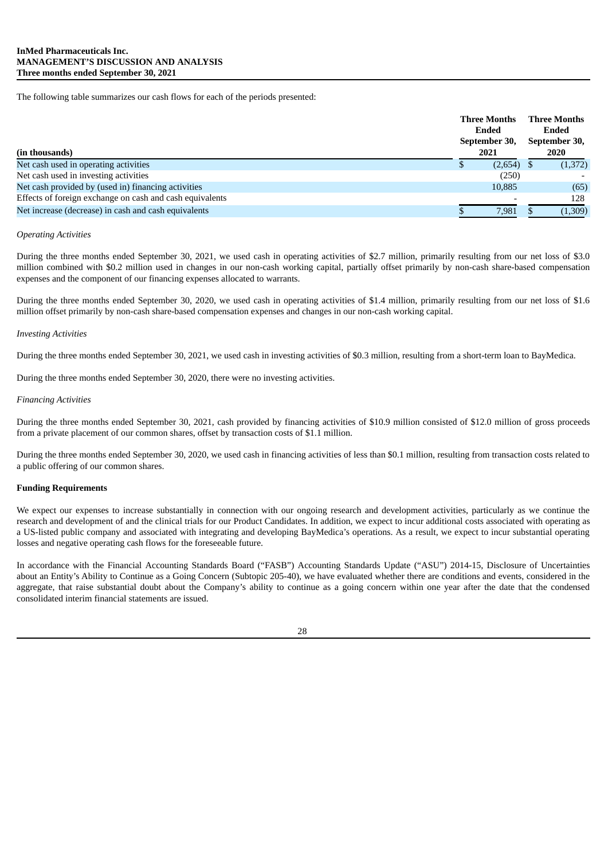The following table summarizes our cash flows for each of the periods presented:

|                                                          | <b>Three Months</b><br>Ended |                       | <b>Three Months</b><br>Ended |                       |
|----------------------------------------------------------|------------------------------|-----------------------|------------------------------|-----------------------|
| (in thousands)                                           |                              | September 30,<br>2021 |                              | September 30,<br>2020 |
| Net cash used in operating activities                    |                              | (2,654)               |                              | (1,372)               |
| Net cash used in investing activities                    |                              | (250)                 |                              |                       |
| Net cash provided by (used in) financing activities      |                              | 10,885                |                              | (65)                  |
| Effects of foreign exchange on cash and cash equivalents |                              |                       |                              | 128                   |
| Net increase (decrease) in cash and cash equivalents     |                              | 7,981                 |                              | (1,309)               |

## *Operating Activities*

During the three months ended September 30, 2021, we used cash in operating activities of \$2.7 million, primarily resulting from our net loss of \$3.0 million combined with \$0.2 million used in changes in our non-cash working capital, partially offset primarily by non-cash share-based compensation expenses and the component of our financing expenses allocated to warrants.

During the three months ended September 30, 2020, we used cash in operating activities of \$1.4 million, primarily resulting from our net loss of \$1.6 million offset primarily by non-cash share-based compensation expenses and changes in our non-cash working capital.

#### *Investing Activities*

During the three months ended September 30, 2021, we used cash in investing activities of \$0.3 million, resulting from a short-term loan to BayMedica.

During the three months ended September 30, 2020, there were no investing activities.

#### *Financing Activities*

During the three months ended September 30, 2021, cash provided by financing activities of \$10.9 million consisted of \$12.0 million of gross proceeds from a private placement of our common shares, offset by transaction costs of \$1.1 million.

During the three months ended September 30, 2020, we used cash in financing activities of less than \$0.1 million, resulting from transaction costs related to a public offering of our common shares.

#### **Funding Requirements**

We expect our expenses to increase substantially in connection with our ongoing research and development activities, particularly as we continue the research and development of and the clinical trials for our Product Candidates. In addition, we expect to incur additional costs associated with operating as a US-listed public company and associated with integrating and developing BayMedica's operations. As a result, we expect to incur substantial operating losses and negative operating cash flows for the foreseeable future.

In accordance with the Financial Accounting Standards Board ("FASB") Accounting Standards Update ("ASU") 2014-15, Disclosure of Uncertainties about an Entity's Ability to Continue as a Going Concern (Subtopic 205-40), we have evaluated whether there are conditions and events, considered in the aggregate, that raise substantial doubt about the Company's ability to continue as a going concern within one year after the date that the condensed consolidated interim financial statements are issued.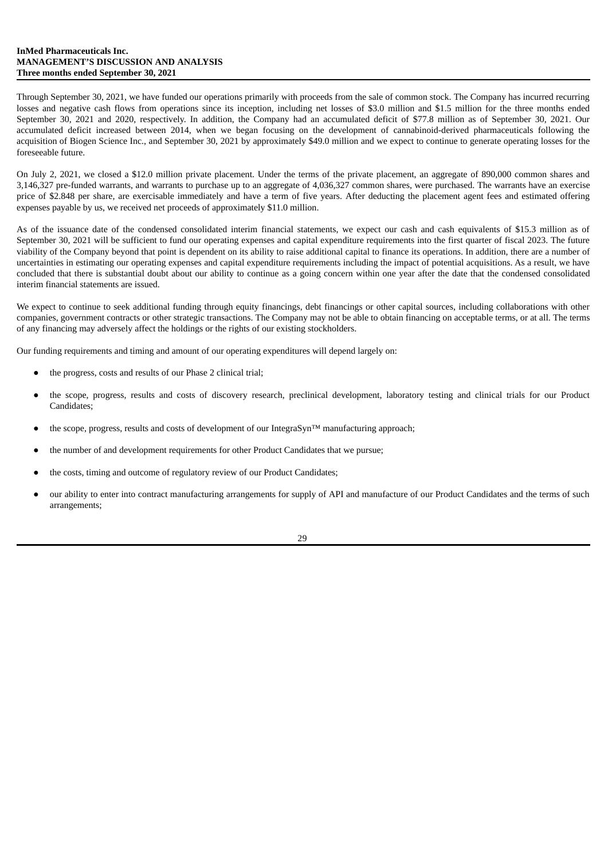#### **InMed Pharmaceuticals Inc. MANAGEMENT'S DISCUSSION AND ANALYSIS Three months ended September 30, 2021**

Through September 30, 2021, we have funded our operations primarily with proceeds from the sale of common stock. The Company has incurred recurring losses and negative cash flows from operations since its inception, including net losses of \$3.0 million and \$1.5 million for the three months ended September 30, 2021 and 2020, respectively. In addition, the Company had an accumulated deficit of \$77.8 million as of September 30, 2021. Our accumulated deficit increased between 2014, when we began focusing on the development of cannabinoid-derived pharmaceuticals following the acquisition of Biogen Science Inc., and September 30, 2021 by approximately \$49.0 million and we expect to continue to generate operating losses for the foreseeable future.

On July 2, 2021, we closed a \$12.0 million private placement. Under the terms of the private placement, an aggregate of 890,000 common shares and 3,146,327 pre-funded warrants, and warrants to purchase up to an aggregate of 4,036,327 common shares, were purchased. The warrants have an exercise price of \$2.848 per share, are exercisable immediately and have a term of five years. After deducting the placement agent fees and estimated offering expenses payable by us, we received net proceeds of approximately \$11.0 million.

As of the issuance date of the condensed consolidated interim financial statements, we expect our cash and cash equivalents of \$15.3 million as of September 30, 2021 will be sufficient to fund our operating expenses and capital expenditure requirements into the first quarter of fiscal 2023. The future viability of the Company beyond that point is dependent on its ability to raise additional capital to finance its operations. In addition, there are a number of uncertainties in estimating our operating expenses and capital expenditure requirements including the impact of potential acquisitions. As a result, we have concluded that there is substantial doubt about our ability to continue as a going concern within one year after the date that the condensed consolidated interim financial statements are issued.

We expect to continue to seek additional funding through equity financings, debt financings or other capital sources, including collaborations with other companies, government contracts or other strategic transactions. The Company may not be able to obtain financing on acceptable terms, or at all. The terms of any financing may adversely affect the holdings or the rights of our existing stockholders.

Our funding requirements and timing and amount of our operating expenditures will depend largely on:

- the progress, costs and results of our Phase 2 clinical trial;
- the scope, progress, results and costs of discovery research, preclinical development, laboratory testing and clinical trials for our Product Candidates;
- the scope, progress, results and costs of development of our IntegraSyn™ manufacturing approach;
- the number of and development requirements for other Product Candidates that we pursue;
- the costs, timing and outcome of regulatory review of our Product Candidates;
- our ability to enter into contract manufacturing arrangements for supply of API and manufacture of our Product Candidates and the terms of such arrangements;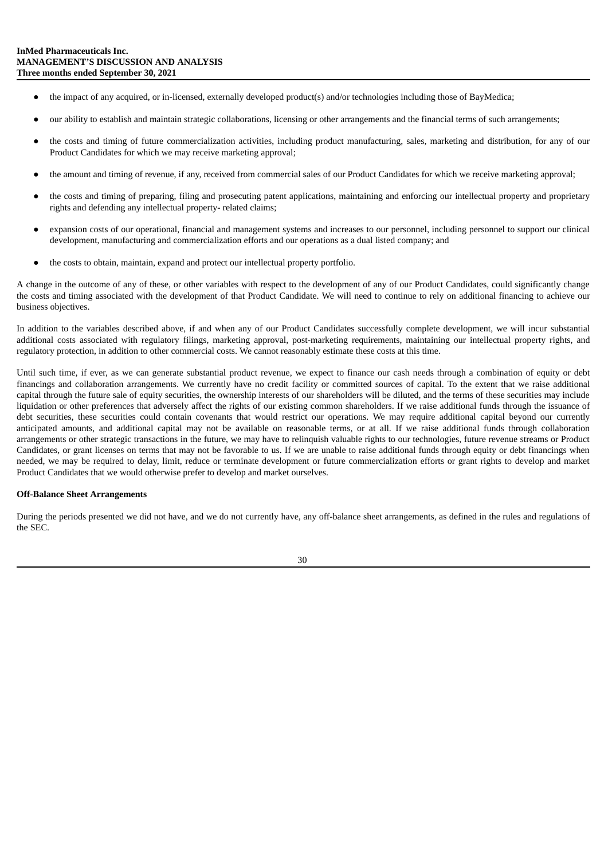- the impact of any acquired, or in-licensed, externally developed product(s) and/or technologies including those of BayMedica;
- our ability to establish and maintain strategic collaborations, licensing or other arrangements and the financial terms of such arrangements;
- the costs and timing of future commercialization activities, including product manufacturing, sales, marketing and distribution, for any of our Product Candidates for which we may receive marketing approval;
- the amount and timing of revenue, if any, received from commercial sales of our Product Candidates for which we receive marketing approval;
- the costs and timing of preparing, filing and prosecuting patent applications, maintaining and enforcing our intellectual property and proprietary rights and defending any intellectual property- related claims;
- expansion costs of our operational, financial and management systems and increases to our personnel, including personnel to support our clinical development, manufacturing and commercialization efforts and our operations as a dual listed company; and
- the costs to obtain, maintain, expand and protect our intellectual property portfolio.

A change in the outcome of any of these, or other variables with respect to the development of any of our Product Candidates, could significantly change the costs and timing associated with the development of that Product Candidate. We will need to continue to rely on additional financing to achieve our business objectives.

In addition to the variables described above, if and when any of our Product Candidates successfully complete development, we will incur substantial additional costs associated with regulatory filings, marketing approval, post-marketing requirements, maintaining our intellectual property rights, and regulatory protection, in addition to other commercial costs. We cannot reasonably estimate these costs at this time.

Until such time, if ever, as we can generate substantial product revenue, we expect to finance our cash needs through a combination of equity or debt financings and collaboration arrangements. We currently have no credit facility or committed sources of capital. To the extent that we raise additional capital through the future sale of equity securities, the ownership interests of our shareholders will be diluted, and the terms of these securities may include liquidation or other preferences that adversely affect the rights of our existing common shareholders. If we raise additional funds through the issuance of debt securities, these securities could contain covenants that would restrict our operations. We may require additional capital beyond our currently anticipated amounts, and additional capital may not be available on reasonable terms, or at all. If we raise additional funds through collaboration arrangements or other strategic transactions in the future, we may have to relinquish valuable rights to our technologies, future revenue streams or Product Candidates, or grant licenses on terms that may not be favorable to us. If we are unable to raise additional funds through equity or debt financings when needed, we may be required to delay, limit, reduce or terminate development or future commercialization efforts or grant rights to develop and market Product Candidates that we would otherwise prefer to develop and market ourselves.

## **Off-Balance Sheet Arrangements**

During the periods presented we did not have, and we do not currently have, any off-balance sheet arrangements, as defined in the rules and regulations of the SEC.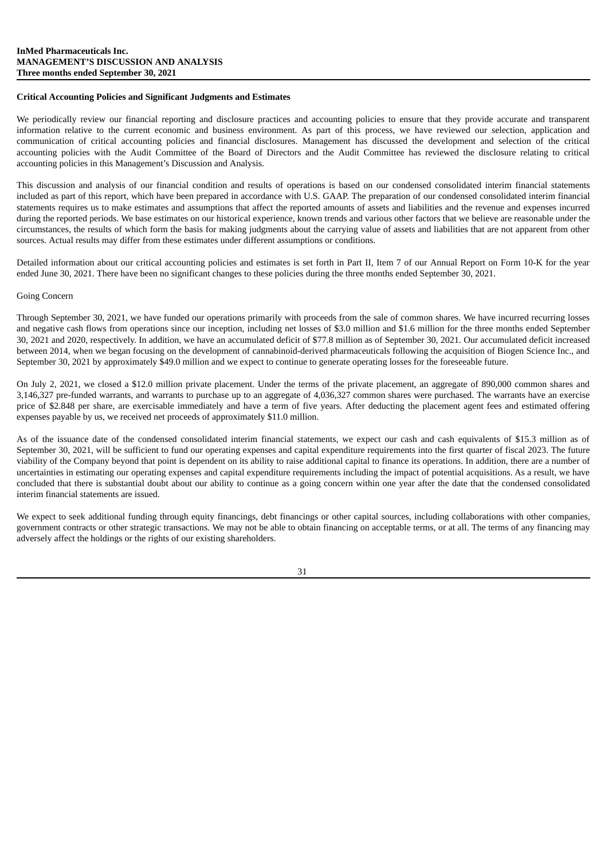#### **Critical Accounting Policies and Significant Judgments and Estimates**

We periodically review our financial reporting and disclosure practices and accounting policies to ensure that they provide accurate and transparent information relative to the current economic and business environment. As part of this process, we have reviewed our selection, application and communication of critical accounting policies and financial disclosures. Management has discussed the development and selection of the critical accounting policies with the Audit Committee of the Board of Directors and the Audit Committee has reviewed the disclosure relating to critical accounting policies in this Management's Discussion and Analysis.

This discussion and analysis of our financial condition and results of operations is based on our condensed consolidated interim financial statements included as part of this report, which have been prepared in accordance with U.S. GAAP. The preparation of our condensed consolidated interim financial statements requires us to make estimates and assumptions that affect the reported amounts of assets and liabilities and the revenue and expenses incurred during the reported periods. We base estimates on our historical experience, known trends and various other factors that we believe are reasonable under the circumstances, the results of which form the basis for making judgments about the carrying value of assets and liabilities that are not apparent from other sources. Actual results may differ from these estimates under different assumptions or conditions.

Detailed information about our critical accounting policies and estimates is set forth in Part II, Item 7 of our Annual Report on Form 10-K for the year ended June 30, 2021. There have been no significant changes to these policies during the three months ended September 30, 2021.

#### Going Concern

Through September 30, 2021, we have funded our operations primarily with proceeds from the sale of common shares. We have incurred recurring losses and negative cash flows from operations since our inception, including net losses of \$3.0 million and \$1.6 million for the three months ended September 30, 2021 and 2020, respectively. In addition, we have an accumulated deficit of \$77.8 million as of September 30, 2021. Our accumulated deficit increased between 2014, when we began focusing on the development of cannabinoid-derived pharmaceuticals following the acquisition of Biogen Science Inc., and September 30, 2021 by approximately \$49.0 million and we expect to continue to generate operating losses for the foreseeable future.

On July 2, 2021, we closed a \$12.0 million private placement. Under the terms of the private placement, an aggregate of 890,000 common shares and 3,146,327 pre-funded warrants, and warrants to purchase up to an aggregate of 4,036,327 common shares were purchased. The warrants have an exercise price of \$2.848 per share, are exercisable immediately and have a term of five years. After deducting the placement agent fees and estimated offering expenses payable by us, we received net proceeds of approximately \$11.0 million.

As of the issuance date of the condensed consolidated interim financial statements, we expect our cash and cash equivalents of \$15.3 million as of September 30, 2021, will be sufficient to fund our operating expenses and capital expenditure requirements into the first quarter of fiscal 2023. The future viability of the Company beyond that point is dependent on its ability to raise additional capital to finance its operations. In addition, there are a number of uncertainties in estimating our operating expenses and capital expenditure requirements including the impact of potential acquisitions. As a result, we have concluded that there is substantial doubt about our ability to continue as a going concern within one year after the date that the condensed consolidated interim financial statements are issued.

We expect to seek additional funding through equity financings, debt financings or other capital sources, including collaborations with other companies, government contracts or other strategic transactions. We may not be able to obtain financing on acceptable terms, or at all. The terms of any financing may adversely affect the holdings or the rights of our existing shareholders.

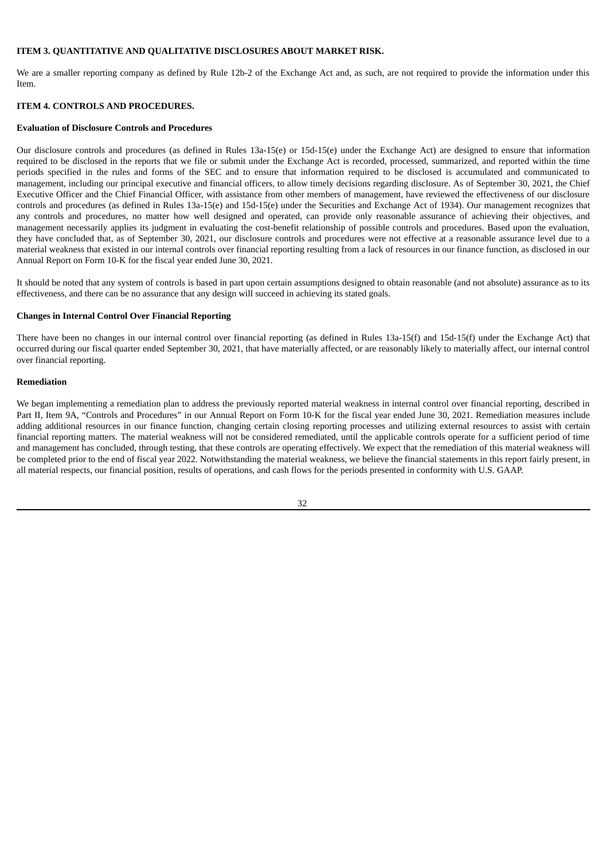## <span id="page-33-0"></span>**ITEM 3. QUANTITATIVE AND QUALITATIVE DISCLOSURES ABOUT MARKET RISK.**

We are a smaller reporting company as defined by Rule 12b-2 of the Exchange Act and, as such, are not required to provide the information under this Item.

# <span id="page-33-1"></span>**ITEM 4. CONTROLS AND PROCEDURES.**

#### **Evaluation of Disclosure Controls and Procedures**

Our disclosure controls and procedures (as defined in Rules 13a-15(e) or 15d-15(e) under the Exchange Act) are designed to ensure that information required to be disclosed in the reports that we file or submit under the Exchange Act is recorded, processed, summarized, and reported within the time periods specified in the rules and forms of the SEC and to ensure that information required to be disclosed is accumulated and communicated to management, including our principal executive and financial officers, to allow timely decisions regarding disclosure. As of September 30, 2021, the Chief Executive Officer and the Chief Financial Officer, with assistance from other members of management, have reviewed the effectiveness of our disclosure controls and procedures (as defined in Rules 13a-15(e) and 15d-15(e) under the Securities and Exchange Act of 1934). Our management recognizes that any controls and procedures, no matter how well designed and operated, can provide only reasonable assurance of achieving their objectives, and management necessarily applies its judgment in evaluating the cost-benefit relationship of possible controls and procedures. Based upon the evaluation, they have concluded that, as of September 30, 2021, our disclosure controls and procedures were not effective at a reasonable assurance level due to a material weakness that existed in our internal controls over financial reporting resulting from a lack of resources in our finance function, as disclosed in our Annual Report on Form 10-K for the fiscal year ended June 30, 2021.

It should be noted that any system of controls is based in part upon certain assumptions designed to obtain reasonable (and not absolute) assurance as to its effectiveness, and there can be no assurance that any design will succeed in achieving its stated goals.

#### **Changes in Internal Control Over Financial Reporting**

There have been no changes in our internal control over financial reporting (as defined in Rules 13a-15(f) and 15d-15(f) under the Exchange Act) that occurred during our fiscal quarter ended September 30, 2021, that have materially affected, or are reasonably likely to materially affect, our internal control over financial reporting.

#### **Remediation**

We began implementing a remediation plan to address the previously reported material weakness in internal control over financial reporting, described in Part II, Item 9A, "Controls and Procedures" in our Annual Report on Form 10-K for the fiscal year ended June 30, 2021. Remediation measures include adding additional resources in our finance function, changing certain closing reporting processes and utilizing external resources to assist with certain financial reporting matters. The material weakness will not be considered remediated, until the applicable controls operate for a sufficient period of time and management has concluded, through testing, that these controls are operating effectively. We expect that the remediation of this material weakness will be completed prior to the end of fiscal year 2022. Notwithstanding the material weakness, we believe the financial statements in this report fairly present, in all material respects, our financial position, results of operations, and cash flows for the periods presented in conformity with U.S. GAAP.

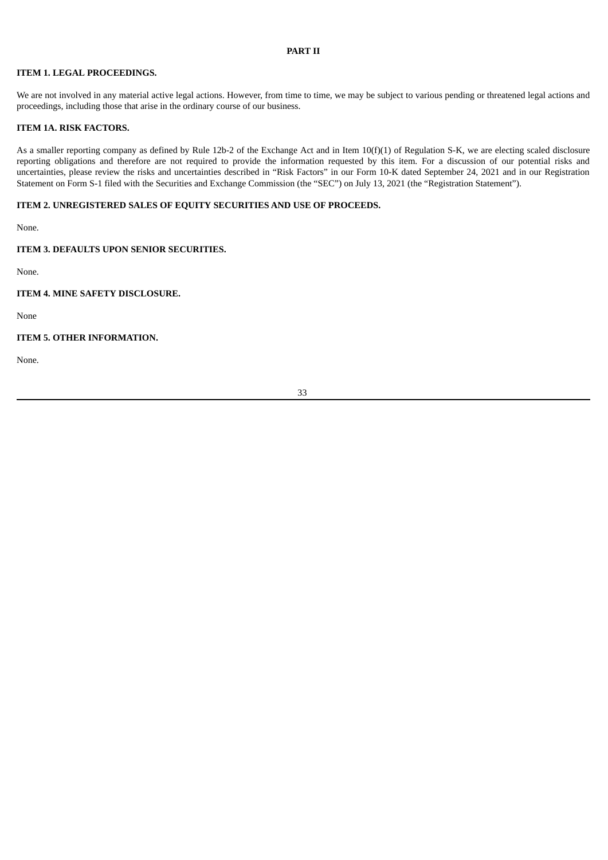## **PART II**

# <span id="page-34-1"></span><span id="page-34-0"></span>**ITEM 1. LEGAL PROCEEDINGS.**

We are not involved in any material active legal actions. However, from time to time, we may be subject to various pending or threatened legal actions and proceedings, including those that arise in the ordinary course of our business.

# <span id="page-34-2"></span>**ITEM 1A. RISK FACTORS.**

As a smaller reporting company as defined by Rule 12b-2 of the Exchange Act and in Item 10(f)(1) of Regulation S-K, we are electing scaled disclosure reporting obligations and therefore are not required to provide the information requested by this item. For a discussion of our potential risks and uncertainties, please review the risks and uncertainties described in "Risk Factors" in our Form 10-K dated September 24, 2021 and in our Registration Statement on Form S-1 filed with the Securities and Exchange Commission (the "SEC") on July 13, 2021 (the "Registration Statement").

## <span id="page-34-3"></span>**ITEM 2. UNREGISTERED SALES OF EQUITY SECURITIES AND USE OF PROCEEDS.**

None.

#### <span id="page-34-4"></span>**ITEM 3. DEFAULTS UPON SENIOR SECURITIES.**

None.

#### <span id="page-34-5"></span>**ITEM 4. MINE SAFETY DISCLOSURE.**

None

#### <span id="page-34-6"></span>**ITEM 5. OTHER INFORMATION.**

None.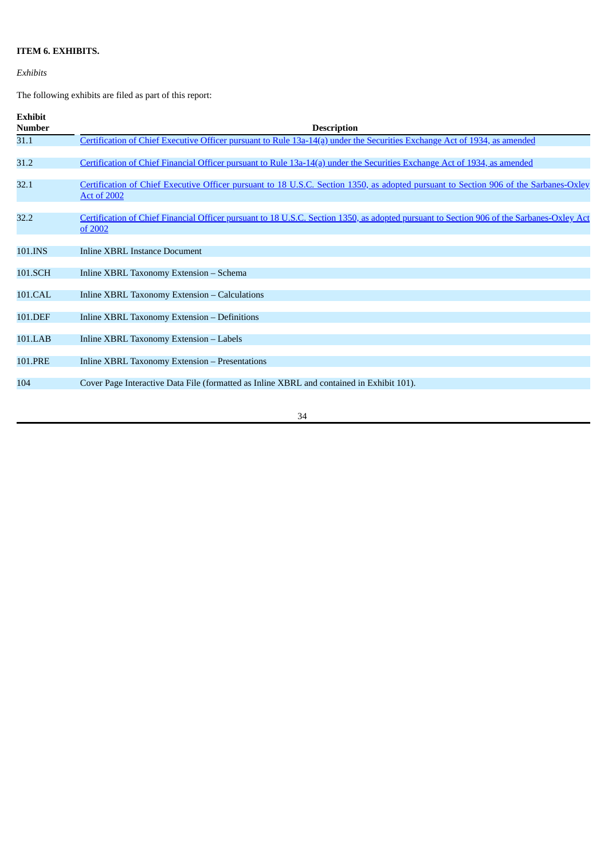# <span id="page-35-0"></span>**ITEM 6. EXHIBITS.**

*Exhibits*

The following exhibits are filed as part of this report:

| <b>Exhibit</b><br><b>Number</b> | <b>Description</b>                                                                                                                                          |
|---------------------------------|-------------------------------------------------------------------------------------------------------------------------------------------------------------|
| 31.1                            | Certification of Chief Executive Officer pursuant to Rule 13a-14(a) under the Securities Exchange Act of 1934, as amended                                   |
| 31.2                            | Certification of Chief Financial Officer pursuant to Rule 13a-14(a) under the Securities Exchange Act of 1934, as amended                                   |
| 32.1                            | Certification of Chief Executive Officer pursuant to 18 U.S.C. Section 1350, as adopted pursuant to Section 906 of the Sarbanes-Oxley<br><b>Act of 2002</b> |
| 32.2                            | Certification of Chief Financial Officer pursuant to 18 U.S.C. Section 1350, as adopted pursuant to Section 906 of the Sarbanes-Oxley Act<br>of 2002        |
| 101.INS                         | Inline XBRL Instance Document                                                                                                                               |
| 101.SCH                         | Inline XBRL Taxonomy Extension - Schema                                                                                                                     |
| 101.CAL                         | Inline XBRL Taxonomy Extension - Calculations                                                                                                               |
| 101.DEF                         | Inline XBRL Taxonomy Extension - Definitions                                                                                                                |
| 101.LAB                         | Inline XBRL Taxonomy Extension - Labels                                                                                                                     |
| 101.PRE                         | Inline XBRL Taxonomy Extension - Presentations                                                                                                              |
| 104                             | Cover Page Interactive Data File (formatted as Inline XBRL and contained in Exhibit 101).                                                                   |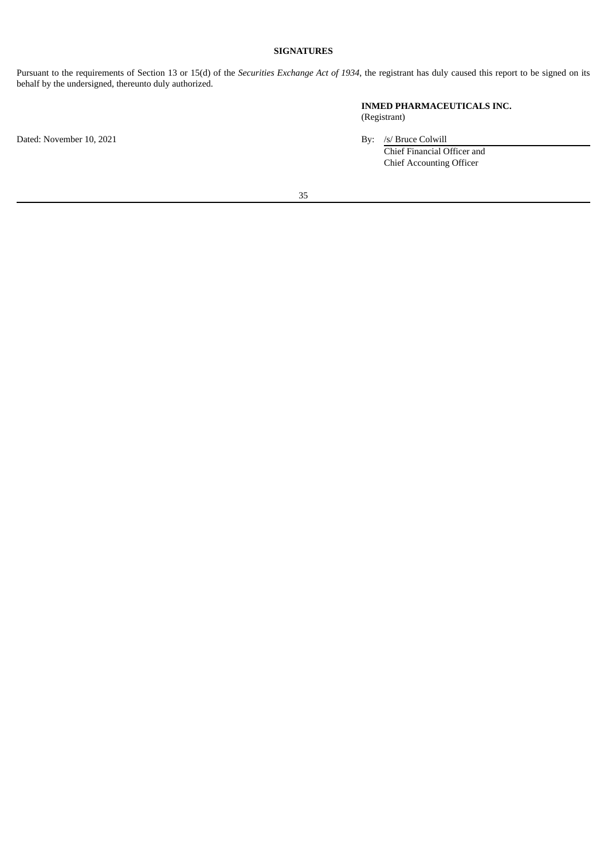# **SIGNATURES**

<span id="page-36-0"></span>Pursuant to the requirements of Section 13 or 15(d) of the *Securities Exchange Act of 1934*, the registrant has duly caused this report to be signed on its behalf by the undersigned, thereunto duly authorized.

# **INMED PHARMACEUTICALS INC.**

(Registrant)

Dated: November 10, 2021 By: /s/ Bruce Colwill

Chief Financial Officer and Chief Accounting Officer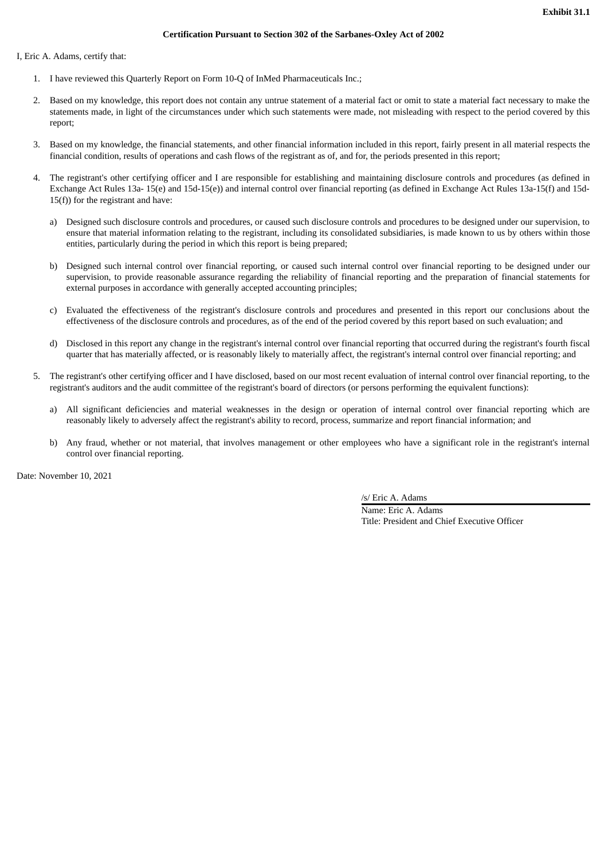# **Certification Pursuant to Section 302 of the Sarbanes-Oxley Act of 2002**

<span id="page-37-0"></span>I, Eric A. Adams, certify that:

- 1. I have reviewed this Quarterly Report on Form 10-Q of InMed Pharmaceuticals Inc.;
- 2. Based on my knowledge, this report does not contain any untrue statement of a material fact or omit to state a material fact necessary to make the statements made, in light of the circumstances under which such statements were made, not misleading with respect to the period covered by this report;
- 3. Based on my knowledge, the financial statements, and other financial information included in this report, fairly present in all material respects the financial condition, results of operations and cash flows of the registrant as of, and for, the periods presented in this report;
- 4. The registrant's other certifying officer and I are responsible for establishing and maintaining disclosure controls and procedures (as defined in Exchange Act Rules 13a- 15(e) and 15d-15(e)) and internal control over financial reporting (as defined in Exchange Act Rules 13a-15(f) and 15d-15(f)) for the registrant and have:
	- a) Designed such disclosure controls and procedures, or caused such disclosure controls and procedures to be designed under our supervision, to ensure that material information relating to the registrant, including its consolidated subsidiaries, is made known to us by others within those entities, particularly during the period in which this report is being prepared;
	- b) Designed such internal control over financial reporting, or caused such internal control over financial reporting to be designed under our supervision, to provide reasonable assurance regarding the reliability of financial reporting and the preparation of financial statements for external purposes in accordance with generally accepted accounting principles;
	- c) Evaluated the effectiveness of the registrant's disclosure controls and procedures and presented in this report our conclusions about the effectiveness of the disclosure controls and procedures, as of the end of the period covered by this report based on such evaluation; and
	- d) Disclosed in this report any change in the registrant's internal control over financial reporting that occurred during the registrant's fourth fiscal quarter that has materially affected, or is reasonably likely to materially affect, the registrant's internal control over financial reporting; and
- 5. The registrant's other certifying officer and I have disclosed, based on our most recent evaluation of internal control over financial reporting, to the registrant's auditors and the audit committee of the registrant's board of directors (or persons performing the equivalent functions):
	- a) All significant deficiencies and material weaknesses in the design or operation of internal control over financial reporting which are reasonably likely to adversely affect the registrant's ability to record, process, summarize and report financial information; and
	- b) Any fraud, whether or not material, that involves management or other employees who have a significant role in the registrant's internal control over financial reporting.

Date: November 10, 2021

/s/ Eric A. Adams

Name: Eric A. Adams Title: President and Chief Executive Officer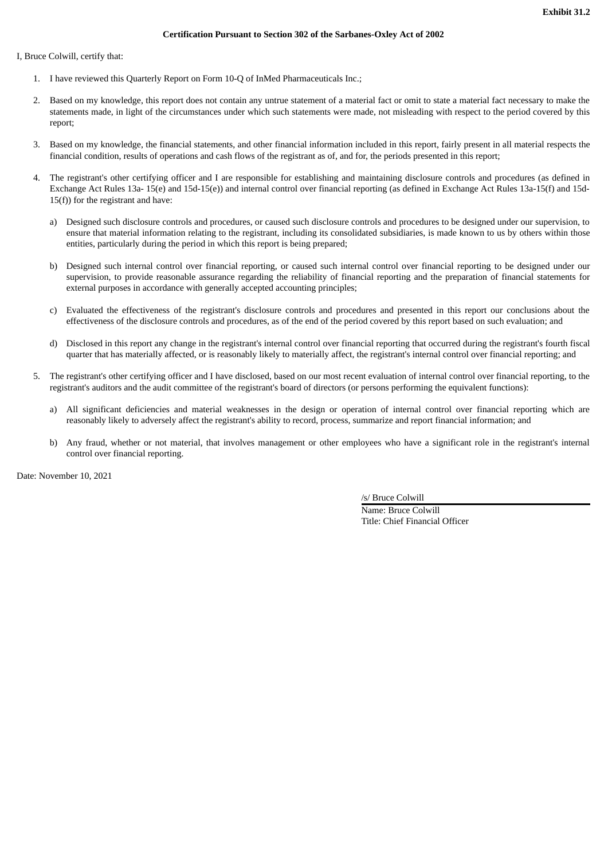# **Certification Pursuant to Section 302 of the Sarbanes-Oxley Act of 2002**

<span id="page-38-0"></span>I, Bruce Colwill, certify that:

- 1. I have reviewed this Quarterly Report on Form 10-Q of InMed Pharmaceuticals Inc.;
- 2. Based on my knowledge, this report does not contain any untrue statement of a material fact or omit to state a material fact necessary to make the statements made, in light of the circumstances under which such statements were made, not misleading with respect to the period covered by this report;
- 3. Based on my knowledge, the financial statements, and other financial information included in this report, fairly present in all material respects the financial condition, results of operations and cash flows of the registrant as of, and for, the periods presented in this report;
- 4. The registrant's other certifying officer and I are responsible for establishing and maintaining disclosure controls and procedures (as defined in Exchange Act Rules 13a- 15(e) and 15d-15(e)) and internal control over financial reporting (as defined in Exchange Act Rules 13a-15(f) and 15d-15(f)) for the registrant and have:
	- a) Designed such disclosure controls and procedures, or caused such disclosure controls and procedures to be designed under our supervision, to ensure that material information relating to the registrant, including its consolidated subsidiaries, is made known to us by others within those entities, particularly during the period in which this report is being prepared;
	- b) Designed such internal control over financial reporting, or caused such internal control over financial reporting to be designed under our supervision, to provide reasonable assurance regarding the reliability of financial reporting and the preparation of financial statements for external purposes in accordance with generally accepted accounting principles;
	- c) Evaluated the effectiveness of the registrant's disclosure controls and procedures and presented in this report our conclusions about the effectiveness of the disclosure controls and procedures, as of the end of the period covered by this report based on such evaluation; and
	- d) Disclosed in this report any change in the registrant's internal control over financial reporting that occurred during the registrant's fourth fiscal quarter that has materially affected, or is reasonably likely to materially affect, the registrant's internal control over financial reporting; and
- 5. The registrant's other certifying officer and I have disclosed, based on our most recent evaluation of internal control over financial reporting, to the registrant's auditors and the audit committee of the registrant's board of directors (or persons performing the equivalent functions):
	- a) All significant deficiencies and material weaknesses in the design or operation of internal control over financial reporting which are reasonably likely to adversely affect the registrant's ability to record, process, summarize and report financial information; and
	- b) Any fraud, whether or not material, that involves management or other employees who have a significant role in the registrant's internal control over financial reporting.

Date: November 10, 2021

/s/ Bruce Colwill

Name: Bruce Colwill Title: Chief Financial Officer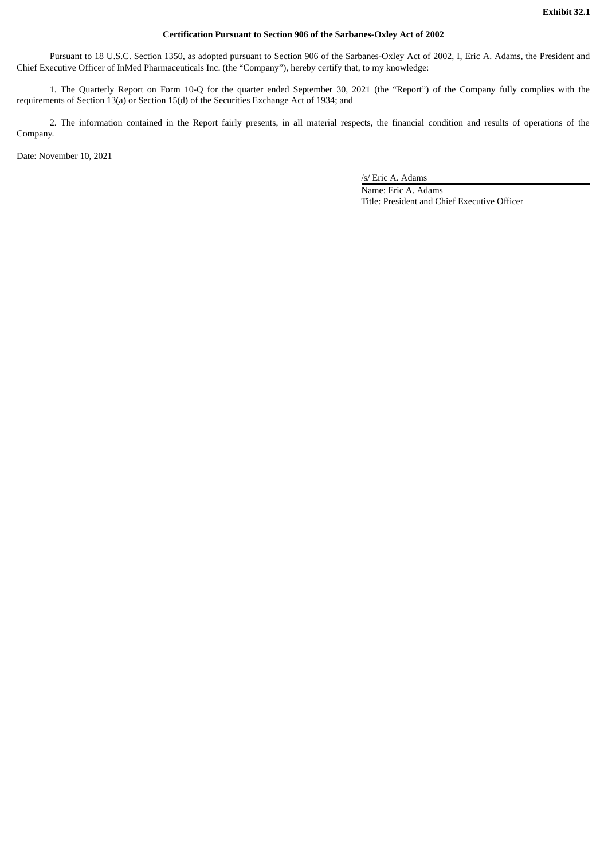#### **Certification Pursuant to Section 906 of the Sarbanes-Oxley Act of 2002**

<span id="page-39-0"></span>Pursuant to 18 U.S.C. Section 1350, as adopted pursuant to Section 906 of the Sarbanes-Oxley Act of 2002, I, Eric A. Adams, the President and Chief Executive Officer of InMed Pharmaceuticals Inc. (the "Company"), hereby certify that, to my knowledge:

1. The Quarterly Report on Form 10-Q for the quarter ended September 30, 2021 (the "Report") of the Company fully complies with the requirements of Section 13(a) or Section 15(d) of the Securities Exchange Act of 1934; and

2. The information contained in the Report fairly presents, in all material respects, the financial condition and results of operations of the Company.

Date: November 10, 2021

/s/ Eric A. Adams

Name: Eric A. Adams Title: President and Chief Executive Officer